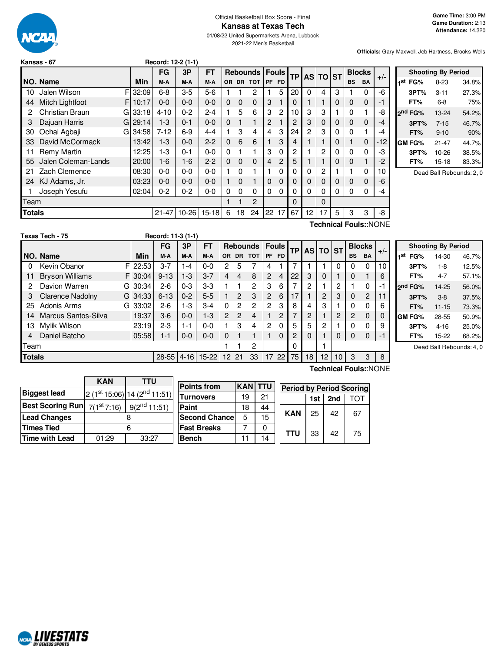

# Official Basketball Box Score - Final **Kansas at Texas Tech**

01/08/22 United Supermarkets Arena, Lubbock 2021-22 Men's Basketball

**Officials:** Gary Maxwell, Jeb Hartness, Brooks Wells

|        | Kansas - 67           |       | Record: 12-2 (1-1) |         |           |              |          |                 |    |                |           |                |          |   |           |               |                       |
|--------|-----------------------|-------|--------------------|---------|-----------|--------------|----------|-----------------|----|----------------|-----------|----------------|----------|---|-----------|---------------|-----------------------|
|        |                       |       | FG                 | 3P      | <b>FT</b> |              |          | <b>Rebounds</b> |    | <b>Fouls</b>   | <b>TP</b> |                | AS TO ST |   |           | <b>Blocks</b> | $+/-$                 |
|        | NO. Name              | Min   | M-A                | M-A     | M-A       |              |          | OR DR TOT       | PF | <b>FD</b>      |           |                |          |   | <b>BS</b> | <b>BA</b>     |                       |
| 10     | FI<br>Jalen Wilson    | 32:09 | $6 - 8$            | $3-5$   | $5-6$     |              |          | 2               |    | 5              | 20        | 0              | 4        | 3 |           | 0             | -6                    |
| 44     | Mitch Lightfoot<br>FI | 10:17 | $0-0$              | $0 - 0$ | $0 - 0$   | $\mathbf{0}$ | 0        | 0               | 3  |                | 0         |                |          | 0 | $\Omega$  | $\mathbf{0}$  | -1                    |
| 2      | Christian Braun<br>G  | 33:18 | $4 - 10$           | $0 - 2$ | $2 - 4$   |              | 5        | 6               | 3  | 2              | 10        | 3              | 3        |   | 0         |               | -8                    |
| 3      | Dajuan Harris<br>GI   | 29:14 | $1-3$              | $0 - 1$ | $0 - 0$   | $\mathbf 0$  |          | 1               | 2  |                | 2         | 3              | 0        | 0 | 0         | $\mathbf 0$   | -4                    |
| 30     | Ochai Agbaji<br>GI    | 34:58 | $7 - 12$           | $6-9$   | 4-4       |              | 3        | 4               | 4  | 3              | 24        | $\overline{2}$ | 3        | 0 | 0         | 1             | -4                    |
| 33     | David McCormack       | 13:42 | $1 - 3$            | $0 - 0$ | $2 - 2$   | $\Omega$     | 6        | 6               |    | 3              | 4         |                |          | 0 |           | $\mathbf 0$   | -12                   |
| 11     | Remy Martin           | 12:25 | $1-3$              | $0 - 1$ | $0-0$     | 0            |          |                 | 3  | 0              | 2         |                | 2        | 0 | 0         | 0             | -3                    |
| 55     | Jalen Coleman-Lands   | 20:00 | 1-6                | $1 - 6$ | $2 - 2$   | $\mathbf{0}$ | 0        | 0               | 4  | $\overline{2}$ | 5         |                |          | 0 | $\Omega$  | 1             | $-2$                  |
| 21     | Zach Clemence         | 08:30 | 0-0                | $0 - 0$ | $0-0$     |              | $\Omega$ | 1               | 1  | 0              | 0         | 0              | 2        |   |           | 0             | 10                    |
| 24     | KJ Adams, Jr.         | 03:23 | $0-0$              | $0 - 0$ | $0 - 0$   |              | $\Omega$ | 1               | 0  | 0              | 0         | 0              | 0        | 0 | 0         | $\mathbf 0$   | -6                    |
|        | Joseph Yesufu         | 02:04 | $0 - 2$            | $0 - 2$ | $0 - 0$   | 0            | 0        | 0               | 0  | 0              | 0         | 0              | 0        | 0 | $\Omega$  | $\Omega$      | -4                    |
| Team   |                       |       |                    |         |           |              |          | 2               |    |                | $\Omega$  |                | 0        |   |           |               |                       |
| Totals |                       |       | $21 - 47$          | 10-26   | $15 - 18$ | 6            | 18       | 24              | 22 | 17             | 67        | 12             | 17       | 5 | 3         | 3             | -8                    |
|        |                       |       |                    |         |           |              |          |                 |    |                |           |                |          |   |           |               | Technical Fouls::NONE |

**Shooting By Period 1 st FG%** 8-23 34.8% **3PT%** 3-11 27.3% **FT%** 6-8 75% **2 nd FG%** 13-24 54.2% **3PT%** 7-15 46.7% **FT%** 9-10 90% **GM FG%** 21-47 44.7% **3PT%** 10-26 38.5% **FT%** 15-18 83.3%

Dead Ball Rebounds: 2, 0

|               | Texas Tech - 75        |    |            | Record: 11-3 (1-1) |          |         |                |                |                 |                |              |           |    |          |    |           |                |       |  |
|---------------|------------------------|----|------------|--------------------|----------|---------|----------------|----------------|-----------------|----------------|--------------|-----------|----|----------|----|-----------|----------------|-------|--|
|               |                        |    |            | FG                 | 3P       | FT      |                |                | <b>Rebounds</b> |                | <b>Fouls</b> | <b>TP</b> |    | AS TO ST |    |           | <b>Blocks</b>  |       |  |
|               | NO. Name               |    | Min        | M-A                | M-A      | M-A     | OR.            | DR.            | <b>TOT</b>      | <b>PF</b>      | <b>FD</b>    |           |    |          |    | <b>BS</b> | <b>BA</b>      | $+/-$ |  |
| 0             | Kevin Obanor           |    | F122:53    | $3 - 7$            | $-4$     | $0 - 0$ | $\overline{2}$ | 5              |                 | 4              |              |           |    |          | 0  |           | $\Omega$       | 10    |  |
| 11            | <b>Bryson Williams</b> |    | $FI$ 30:04 | $9 - 13$           | $1-3$    | $3 - 7$ | 4              | 4              | 8               | 2              | 4            | 22        | 3  | $\Omega$ |    | 0         |                | 6     |  |
| 2             | Davion Warren          | GI | 30:34      | $2-6$              | $0 - 3$  | $3-3$   |                |                | $\overline{c}$  | 3              | 6            | 7         | 2  |          | 2  |           | 0              | -1    |  |
| З             | Clarence Nadolny       | GI | 34:33      | $6 - 13$           | $0 - 2$  | $5 - 5$ |                | $\overline{2}$ | 3               | $\overline{2}$ | 6            | 17        |    | 2        | 3  | $\Omega$  | $\overline{2}$ | 11    |  |
| 25            | Adonis Arms            | GI | 33:02      | 2-6                | 1-3      | $3-4$   | $\Omega$       | 2              | $\overline{c}$  | 2              | 3            | 8         |    | 3        |    |           | 0              | 6     |  |
| 14            | Marcus Santos-Silva    |    | 19:37      | $3-6$              | $0 - 0$  | $1-3$   | 2              | $\mathcal{P}$  | 4               |                | 2            | ⇁         | 2  |          | 2  | 2         | 0              | 0     |  |
| 13            | Mylik Wilson           |    | 23:19      | $2 - 3$            | $1 - 1$  | $0 - 0$ |                | 3              | 4               | 2              | $\Omega$     | 5         | 5  | 2        |    |           | 0              | 9     |  |
|               | Daniel Batcho          |    | 05:58      | $1 - 1$            | $0-0$    | $0 - 0$ | $\Omega$       |                |                 |                | $\Omega$     | 2         | 0  |          | 0  |           | 0              | -1    |  |
| Team          |                        |    |            |                    |          |         |                |                | 2               |                |              | 0         |    |          |    |           |                |       |  |
| <b>Totals</b> |                        |    |            | $28 - 55$          | $4 - 16$ | $15-22$ | $12^{\circ}$   | 21             | 33              | 17             | 22           | 75        | 18 | 12       | 10 | 3         | 3              | 8     |  |

|     |                     | <b>Shooting By Period</b> |       |
|-----|---------------------|---------------------------|-------|
| 1st | FG%                 | 14-30                     | 46.7% |
|     | 3PT%                | $1 - 8$                   | 12.5% |
|     | FT%                 | 4-7                       | 57.1% |
|     | 2 <sup>nd</sup> FG% | 14-25                     | 56.0% |
|     | 3PT%                | $3 - 8$                   | 37.5% |
|     | FT%                 | $11 - 15$                 | 73.3% |
|     | GM FG%              | 28-55                     | 50.9% |
|     | 3PT%                | $4 - 16$                  | 25.0% |
|     | FT%                 | 15-22                     | 68.2% |

Dead Ball Rebounds: 4, 0

| <b>TTU</b>                   |
|------------------------------|
|                              |
| $2(1st 15:06) 14(2nd 11:51)$ |
| $9(2^{nd} 11:51)$            |
|                              |
|                              |
| 33:27                        |
|                              |

| <b>Points from</b>    | <b>KAN</b> | <b>TTU</b> |            |     |     | <b>Period by Period Scoring</b> |
|-----------------------|------------|------------|------------|-----|-----|---------------------------------|
| <b>ITurnovers</b>     | 19         | 21         |            | 1st | 2nd |                                 |
| Paint                 | 18         | 44         |            |     |     |                                 |
| <b>Second Chancel</b> | 5          | 15         | <b>KAN</b> | 25  | 42  | 67                              |
| <b>Fast Breaks</b>    |            |            | <b>TTU</b> |     |     |                                 |
| <b>Bench</b>          | 11         | 14         |            | 33  | 42  | 75                              |

**Technical Fouls:**:NONE

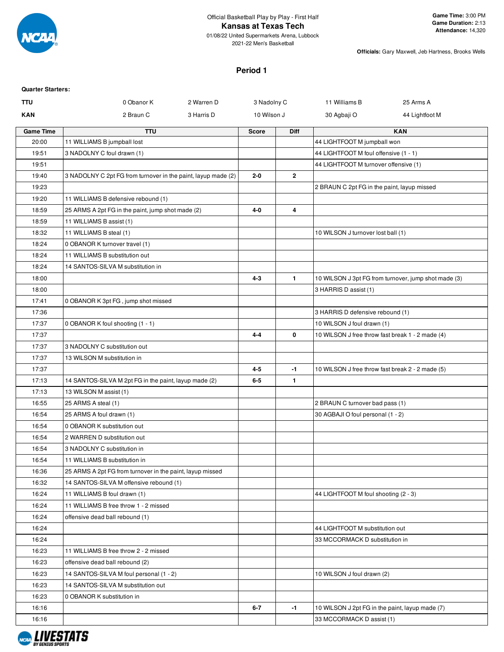

**Officials:** Gary Maxwell, Jeb Hartness, Brooks Wells

## **Period 1**

| <b>Quarter Starters:</b> |                                                               |            |              |              |                                                  |                                                      |
|--------------------------|---------------------------------------------------------------|------------|--------------|--------------|--------------------------------------------------|------------------------------------------------------|
| <b>TTU</b>               | 0 Obanor K                                                    | 2 Warren D | 3 Nadolny C  |              | 11 Williams B                                    | 25 Arms A                                            |
| <b>KAN</b>               | 2 Braun C                                                     | 3 Harris D | 10 Wilson J  |              | 30 Agbaji O                                      | 44 Lightfoot M                                       |
| <b>Game Time</b>         | <b>TTU</b>                                                    |            | <b>Score</b> | <b>Diff</b>  |                                                  | <b>KAN</b>                                           |
| 20:00                    | 11 WILLIAMS B jumpball lost                                   |            |              |              | 44 LIGHTFOOT M jumpball won                      |                                                      |
| 19:51                    | 3 NADOLNY C foul drawn (1)                                    |            |              |              | 44 LIGHTFOOT M foul offensive (1 - 1)            |                                                      |
| 19:51                    |                                                               |            |              |              | 44 LIGHTFOOT M turnover offensive (1)            |                                                      |
| 19:40                    | 3 NADOLNY C 2pt FG from turnover in the paint, layup made (2) |            | 2-0          | 2            |                                                  |                                                      |
| 19:23                    |                                                               |            |              |              | 2 BRAUN C 2pt FG in the paint, layup missed      |                                                      |
| 19:20                    | 11 WILLIAMS B defensive rebound (1)                           |            |              |              |                                                  |                                                      |
| 18:59                    | 25 ARMS A 2pt FG in the paint, jump shot made (2)             |            | 4-0          | 4            |                                                  |                                                      |
| 18:59                    | 11 WILLIAMS B assist (1)                                      |            |              |              |                                                  |                                                      |
| 18:32                    | 11 WILLIAMS B steal (1)                                       |            |              |              | 10 WILSON J turnover lost ball (1)               |                                                      |
| 18:24                    | 0 OBANOR K turnover travel (1)                                |            |              |              |                                                  |                                                      |
| 18:24                    | 11 WILLIAMS B substitution out                                |            |              |              |                                                  |                                                      |
| 18:24                    | 14 SANTOS-SILVA M substitution in                             |            |              |              |                                                  |                                                      |
| 18:00                    |                                                               |            | $4 - 3$      | $\mathbf{1}$ |                                                  | 10 WILSON J 3pt FG from turnover, jump shot made (3) |
| 18:00                    |                                                               |            |              |              | 3 HARRIS D assist (1)                            |                                                      |
| 17:41                    | 0 OBANOR K 3pt FG, jump shot missed                           |            |              |              |                                                  |                                                      |
| 17:36                    |                                                               |            |              |              | 3 HARRIS D defensive rebound (1)                 |                                                      |
| 17:37                    | 0 OBANOR K foul shooting (1 - 1)                              |            |              |              | 10 WILSON J foul drawn (1)                       |                                                      |
| 17:37                    |                                                               |            | $4 - 4$      | 0            | 10 WILSON J free throw fast break 1 - 2 made (4) |                                                      |
| 17:37                    | 3 NADOLNY C substitution out                                  |            |              |              |                                                  |                                                      |
| 17:37                    | 13 WILSON M substitution in                                   |            |              |              |                                                  |                                                      |
| 17:37                    |                                                               |            | 4-5          | -1           | 10 WILSON J free throw fast break 2 - 2 made (5) |                                                      |
| 17:13                    | 14 SANTOS-SILVA M 2pt FG in the paint, layup made (2)         |            | $6-5$        | $\mathbf{1}$ |                                                  |                                                      |
| 17:13                    | 13 WILSON M assist (1)                                        |            |              |              |                                                  |                                                      |
| 16:55                    | 25 ARMS A steal (1)                                           |            |              |              | 2 BRAUN C turnover bad pass (1)                  |                                                      |
| 16:54                    | 25 ARMS A foul drawn (1)                                      |            |              |              | 30 AGBAJI O foul personal (1 - 2)                |                                                      |
| 16:54                    | 0 OBANOR K substitution out                                   |            |              |              |                                                  |                                                      |
| 16:54                    | 2 WARREN D substitution out                                   |            |              |              |                                                  |                                                      |
| 16:54                    | 3 NADOLNY C substitution in                                   |            |              |              |                                                  |                                                      |
| 16:54                    | 11 WILLIAMS B substitution in                                 |            |              |              |                                                  |                                                      |
| 16:36                    | 25 ARMS A 2pt FG from turnover in the paint, layup missed     |            |              |              |                                                  |                                                      |
| 16:32                    | 14 SANTOS-SILVA M offensive rebound (1)                       |            |              |              |                                                  |                                                      |
| 16:24                    | 11 WILLIAMS B foul drawn (1)                                  |            |              |              | 44 LIGHTFOOT M foul shooting (2 - 3)             |                                                      |
| 16:24                    | 11 WILLIAMS B free throw 1 - 2 missed                         |            |              |              |                                                  |                                                      |
| 16:24                    | offensive dead ball rebound (1)                               |            |              |              |                                                  |                                                      |
| 16:24                    |                                                               |            |              |              | 44 LIGHTFOOT M substitution out                  |                                                      |
| 16:24                    |                                                               |            |              |              | 33 MCCORMACK D substitution in                   |                                                      |
| 16:23                    | 11 WILLIAMS B free throw 2 - 2 missed                         |            |              |              |                                                  |                                                      |
| 16:23                    | offensive dead ball rebound (2)                               |            |              |              |                                                  |                                                      |
| 16:23                    | 14 SANTOS-SILVA M foul personal (1 - 2)                       |            |              |              | 10 WILSON J foul drawn (2)                       |                                                      |
| 16:23                    | 14 SANTOS-SILVA M substitution out                            |            |              |              |                                                  |                                                      |
| 16:23                    | 0 OBANOR K substitution in                                    |            |              |              |                                                  |                                                      |
| 16:16                    |                                                               |            | 6-7          | $-1$         | 10 WILSON J 2pt FG in the paint, layup made (7)  |                                                      |
| 16:16                    |                                                               |            |              |              | 33 MCCORMACK D assist (1)                        |                                                      |

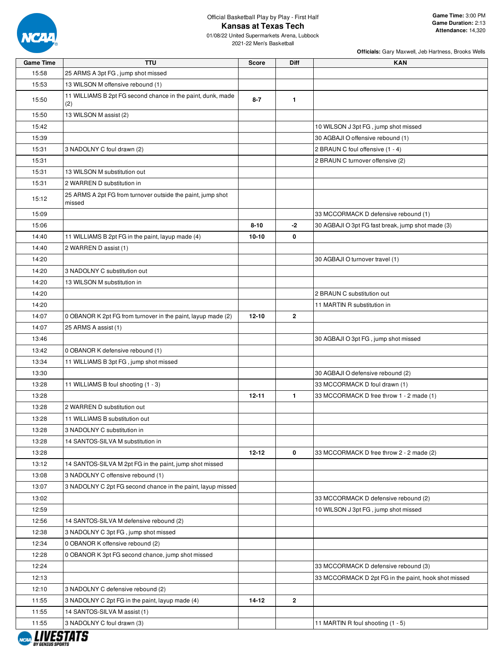

01/08/22 United Supermarkets Arena, Lubbock 2021-22 Men's Basketball

| <b>Game Time</b> | <b>TTU</b>                                                            | <b>Score</b> | <b>Diff</b>    | <b>KAN</b>                                           |
|------------------|-----------------------------------------------------------------------|--------------|----------------|------------------------------------------------------|
| 15:58            | 25 ARMS A 3pt FG, jump shot missed                                    |              |                |                                                      |
| 15:53            | 13 WILSON M offensive rebound (1)                                     |              |                |                                                      |
| 15:50            | 11 WILLIAMS B 2pt FG second chance in the paint, dunk, made<br>(2)    | $8 - 7$      | $\mathbf{1}$   |                                                      |
| 15:50            | 13 WILSON M assist (2)                                                |              |                |                                                      |
| 15:42            |                                                                       |              |                | 10 WILSON J 3pt FG, jump shot missed                 |
| 15:39            |                                                                       |              |                | 30 AGBAJI O offensive rebound (1)                    |
| 15:31            | 3 NADOLNY C foul drawn (2)                                            |              |                | 2 BRAUN C foul offensive (1 - 4)                     |
| 15:31            |                                                                       |              |                | 2 BRAUN C turnover offensive (2)                     |
| 15:31            | 13 WILSON M substitution out                                          |              |                |                                                      |
| 15:31            | 2 WARREN D substitution in                                            |              |                |                                                      |
| 15:12            | 25 ARMS A 2pt FG from turnover outside the paint, jump shot<br>missed |              |                |                                                      |
| 15:09            |                                                                       |              |                | 33 MCCORMACK D defensive rebound (1)                 |
| 15:06            |                                                                       | $8 - 10$     | -2             | 30 AGBAJI O 3pt FG fast break, jump shot made (3)    |
| 14:40            | 11 WILLIAMS B 2pt FG in the paint, layup made (4)                     | $10 - 10$    | 0              |                                                      |
| 14:40            | 2 WARREN D assist (1)                                                 |              |                |                                                      |
| 14:20            |                                                                       |              |                | 30 AGBAJI O turnover travel (1)                      |
| 14:20            | 3 NADOLNY C substitution out                                          |              |                |                                                      |
| 14:20            | 13 WILSON M substitution in                                           |              |                |                                                      |
| 14:20            |                                                                       |              |                | 2 BRAUN C substitution out                           |
| 14:20            |                                                                       |              |                | 11 MARTIN R substitution in                          |
| 14:07            | 0 OBANOR K 2pt FG from turnover in the paint, layup made (2)          | 12-10        | $\overline{2}$ |                                                      |
| 14:07            | 25 ARMS A assist (1)                                                  |              |                |                                                      |
| 13:46            |                                                                       |              |                | 30 AGBAJI O 3pt FG, jump shot missed                 |
| 13:42            | 0 OBANOR K defensive rebound (1)                                      |              |                |                                                      |
| 13:34            | 11 WILLIAMS B 3pt FG, jump shot missed                                |              |                |                                                      |
| 13:30            |                                                                       |              |                | 30 AGBAJI O defensive rebound (2)                    |
| 13:28            | 11 WILLIAMS B foul shooting (1 - 3)                                   |              |                | 33 MCCORMACK D foul drawn (1)                        |
| 13:28            |                                                                       | 12-11        | 1.             | 33 MCCORMACK D free throw 1 - 2 made (1)             |
| 13:28            | 2 WARREN D substitution out                                           |              |                |                                                      |
| 13:28            | 11 WILLIAMS B substitution out                                        |              |                |                                                      |
| 13:28            | 3 NADOLNY C substitution in                                           |              |                |                                                      |
| 13:28            | 14 SANTOS-SILVA M substitution in                                     |              |                |                                                      |
| 13:28            |                                                                       | $12 - 12$    | 0              | 33 MCCORMACK D free throw 2 - 2 made (2)             |
| 13:12            | 14 SANTOS-SILVA M 2pt FG in the paint, jump shot missed               |              |                |                                                      |
| 13:08            | 3 NADOLNY C offensive rebound (1)                                     |              |                |                                                      |
| 13:07            | 3 NADOLNY C 2pt FG second chance in the paint, layup missed           |              |                |                                                      |
| 13:02            |                                                                       |              |                | 33 MCCORMACK D defensive rebound (2)                 |
| 12:59            |                                                                       |              |                | 10 WILSON J 3pt FG, jump shot missed                 |
| 12:56            | 14 SANTOS-SILVA M defensive rebound (2)                               |              |                |                                                      |
| 12:38            | 3 NADOLNY C 3pt FG, jump shot missed                                  |              |                |                                                      |
| 12:34            | 0 OBANOR K offensive rebound (2)                                      |              |                |                                                      |
| 12:28            | 0 OBANOR K 3pt FG second chance, jump shot missed                     |              |                |                                                      |
| 12:24            |                                                                       |              |                | 33 MCCORMACK D defensive rebound (3)                 |
| 12:13            |                                                                       |              |                | 33 MCCORMACK D 2pt FG in the paint, hook shot missed |
| 12:10            | 3 NADOLNY C defensive rebound (2)                                     |              |                |                                                      |
| 11:55            | 3 NADOLNY C 2pt FG in the paint, layup made (4)                       | 14-12        | $\mathbf{2}$   |                                                      |
| 11:55            | 14 SANTOS-SILVA M assist (1)                                          |              |                |                                                      |
| 11:55            | 3 NADOLNY C foul drawn (3)                                            |              |                | 11 MARTIN R foul shooting (1 - 5)                    |

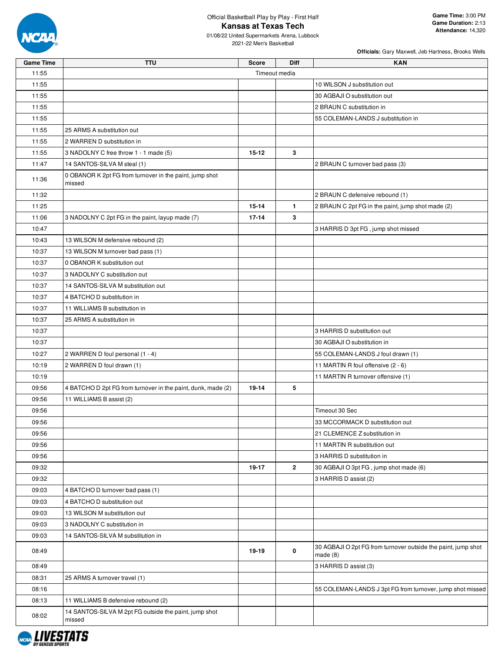

01/08/22 United Supermarkets Arena, Lubbock 2021-22 Men's Basketball

| <b>Game Time</b> | <b>TTU</b>                                                        | <b>Score</b>  | Diff         | <b>KAN</b>                                                                  |
|------------------|-------------------------------------------------------------------|---------------|--------------|-----------------------------------------------------------------------------|
| 11:55            |                                                                   | Timeout media |              |                                                                             |
| 11:55            |                                                                   |               |              | 10 WILSON J substitution out                                                |
| 11:55            |                                                                   |               |              | 30 AGBAJI O substitution out                                                |
| 11:55            |                                                                   |               |              | 2 BRAUN C substitution in                                                   |
| 11:55            |                                                                   |               |              | 55 COLEMAN-LANDS J substitution in                                          |
| 11:55            | 25 ARMS A substitution out                                        |               |              |                                                                             |
| 11:55            | 2 WARREN D substitution in                                        |               |              |                                                                             |
| 11:55            | 3 NADOLNY C free throw 1 - 1 made (5)                             | $15 - 12$     | 3            |                                                                             |
| 11:47            | 14 SANTOS-SILVA M steal (1)                                       |               |              | 2 BRAUN C turnover bad pass (3)                                             |
| 11:36            | 0 OBANOR K 2pt FG from turnover in the paint, jump shot<br>missed |               |              |                                                                             |
| 11:32            |                                                                   |               |              | 2 BRAUN C defensive rebound (1)                                             |
| 11:25            |                                                                   | $15 - 14$     | $\mathbf{1}$ | 2 BRAUN C 2pt FG in the paint, jump shot made (2)                           |
| 11:06            | 3 NADOLNY C 2pt FG in the paint, layup made (7)                   | $17 - 14$     | 3            |                                                                             |
| 10:47            |                                                                   |               |              | 3 HARRIS D 3pt FG, jump shot missed                                         |
| 10:43            | 13 WILSON M defensive rebound (2)                                 |               |              |                                                                             |
| 10:37            | 13 WILSON M turnover bad pass (1)                                 |               |              |                                                                             |
| 10:37            | 0 OBANOR K substitution out                                       |               |              |                                                                             |
| 10:37            | 3 NADOLNY C substitution out                                      |               |              |                                                                             |
| 10:37            | 14 SANTOS-SILVA M substitution out                                |               |              |                                                                             |
| 10:37            | 4 BATCHO D substitution in                                        |               |              |                                                                             |
| 10:37            | 11 WILLIAMS B substitution in                                     |               |              |                                                                             |
| 10:37            | 25 ARMS A substitution in                                         |               |              |                                                                             |
| 10:37            |                                                                   |               |              | 3 HARRIS D substitution out                                                 |
| 10:37            |                                                                   |               |              | 30 AGBAJI O substitution in                                                 |
| 10:27            | 2 WARREN D foul personal (1 - 4)                                  |               |              | 55 COLEMAN-LANDS J foul drawn (1)                                           |
| 10:19            | 2 WARREN D foul drawn (1)                                         |               |              | 11 MARTIN R foul offensive (2 - 6)                                          |
| 10:19            |                                                                   |               |              | 11 MARTIN R turnover offensive (1)                                          |
| 09:56            | 4 BATCHO D 2pt FG from turnover in the paint, dunk, made (2)      | 19-14         | 5            |                                                                             |
| 09:56            | 11 WILLIAMS B assist (2)                                          |               |              |                                                                             |
| 09:56            |                                                                   |               |              | Timeout 30 Sec                                                              |
| 09:56            |                                                                   |               |              | 33 MCCORMACK D substitution out                                             |
| 09:56            |                                                                   |               |              | 21 CLEMENCE Z substitution in                                               |
| 09:56            |                                                                   |               |              | 11 MARTIN R substitution out                                                |
| 09:56            |                                                                   |               |              | 3 HARRIS D substitution in                                                  |
| 09:32            |                                                                   | 19-17         | $\mathbf{2}$ | 30 AGBAJI O 3pt FG, jump shot made (6)                                      |
| 09:32            |                                                                   |               |              | 3 HARRIS D assist (2)                                                       |
| 09:03            | 4 BATCHO D turnover bad pass (1)                                  |               |              |                                                                             |
| 09:03            | 4 BATCHO D substitution out                                       |               |              |                                                                             |
| 09:03            | 13 WILSON M substitution out                                      |               |              |                                                                             |
| 09:03            | 3 NADOLNY C substitution in                                       |               |              |                                                                             |
| 09:03            | 14 SANTOS-SILVA M substitution in                                 |               |              |                                                                             |
| 08:49            |                                                                   | 19-19         | 0            | 30 AGBAJI O 2pt FG from turnover outside the paint, jump shot<br>made $(8)$ |
| 08:49            |                                                                   |               |              | 3 HARRIS D assist (3)                                                       |
| 08:31            | 25 ARMS A turnover travel (1)                                     |               |              |                                                                             |
| 08:16            |                                                                   |               |              | 55 COLEMAN-LANDS J 3pt FG from turnover, jump shot missed                   |
| 08:13            | 11 WILLIAMS B defensive rebound (2)                               |               |              |                                                                             |
| 08:02            | 14 SANTOS-SILVA M 2pt FG outside the paint, jump shot             |               |              |                                                                             |
|                  | missed                                                            |               |              |                                                                             |

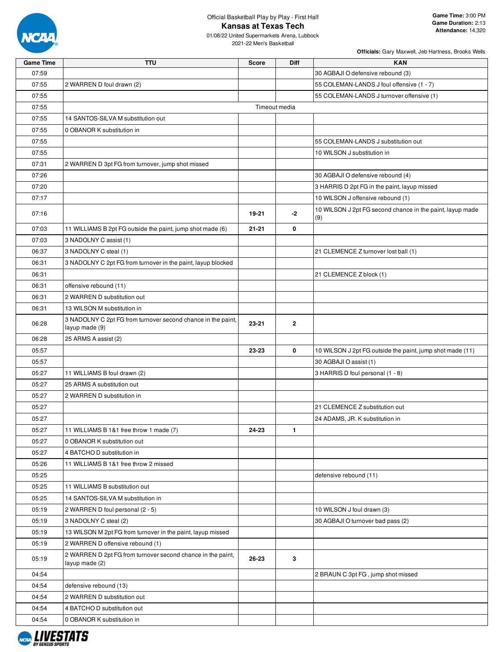

01/08/22 United Supermarkets Arena, Lubbock 2021-22 Men's Basketball

| <b>Game Time</b> | <b>TTU</b>                                                                     | <b>Score</b> | <b>Diff</b>   | <b>KAN</b>                                                       |
|------------------|--------------------------------------------------------------------------------|--------------|---------------|------------------------------------------------------------------|
| 07:59            |                                                                                |              |               | 30 AGBAJI O defensive rebound (3)                                |
| 07:55            | 2 WARREN D foul drawn (2)                                                      |              |               | 55 COLEMAN-LANDS J foul offensive (1 - 7)                        |
| 07:55            |                                                                                |              |               | 55 COLEMAN-LANDS J turnover offensive (1)                        |
| 07:55            |                                                                                |              | Timeout media |                                                                  |
| 07:55            | 14 SANTOS-SILVA M substitution out                                             |              |               |                                                                  |
| 07:55            | 0 OBANOR K substitution in                                                     |              |               |                                                                  |
| 07:55            |                                                                                |              |               | 55 COLEMAN-LANDS J substitution out                              |
| 07:55            |                                                                                |              |               | 10 WILSON J substitution in                                      |
| 07:31            | 2 WARREN D 3pt FG from turnover, jump shot missed                              |              |               |                                                                  |
| 07:26            |                                                                                |              |               | 30 AGBAJI O defensive rebound (4)                                |
| 07:20            |                                                                                |              |               | 3 HARRIS D 2pt FG in the paint, layup missed                     |
| 07:17            |                                                                                |              |               | 10 WILSON J offensive rebound (1)                                |
| 07:16            |                                                                                | 19-21        | $-2$          | 10 WILSON J 2pt FG second chance in the paint, layup made<br>(9) |
| 07:03            | 11 WILLIAMS B 2pt FG outside the paint, jump shot made (6)                     | $21 - 21$    | 0             |                                                                  |
| 07:03            | 3 NADOLNY C assist (1)                                                         |              |               |                                                                  |
| 06:37            | 3 NADOLNY C steal (1)                                                          |              |               | 21 CLEMENCE Z turnover lost ball (1)                             |
| 06:31            | 3 NADOLNY C 2pt FG from turnover in the paint, layup blocked                   |              |               |                                                                  |
| 06:31            |                                                                                |              |               | 21 CLEMENCE Z block (1)                                          |
| 06:31            | offensive rebound (11)                                                         |              |               |                                                                  |
| 06:31            | 2 WARREN D substitution out                                                    |              |               |                                                                  |
| 06:31            | 13 WILSON M substitution in                                                    |              |               |                                                                  |
| 06:28            | 3 NADOLNY C 2pt FG from turnover second chance in the paint,<br>layup made (9) | 23-21        | 2             |                                                                  |
| 06:28            | 25 ARMS A assist (2)                                                           |              |               |                                                                  |
| 05:57            |                                                                                | 23-23        | 0             | 10 WILSON J 2pt FG outside the paint, jump shot made (11)        |
| 05:57            |                                                                                |              |               | 30 AGBAJI O assist (1)                                           |
| 05:27            | 11 WILLIAMS B foul drawn (2)                                                   |              |               | 3 HARRIS D foul personal (1 - 8)                                 |
| 05:27            | 25 ARMS A substitution out                                                     |              |               |                                                                  |
| 05:27            | 2 WARREN D substitution in                                                     |              |               |                                                                  |
| 05:27            |                                                                                |              |               | 21 CLEMENCE Z substitution out                                   |
| 05:27            |                                                                                |              |               | 24 ADAMS, JR. K substitution in                                  |
| 05:27            | 11 WILLIAMS B 1&1 free throw 1 made (7)                                        | 24-23        | $\mathbf{1}$  |                                                                  |
| 05:27            | 0 OBANOR K substitution out                                                    |              |               |                                                                  |
| 05:27            | 4 BATCHO D substitution in                                                     |              |               |                                                                  |
| 05:26            | 11 WILLIAMS B 1&1 free throw 2 missed                                          |              |               |                                                                  |
| 05:25            |                                                                                |              |               | defensive rebound (11)                                           |
| 05:25            | 11 WILLIAMS B substitution out                                                 |              |               |                                                                  |
| 05:25            | 14 SANTOS-SILVA M substitution in                                              |              |               |                                                                  |
| 05:19            | 2 WARREN D foul personal (2 - 5)                                               |              |               | 10 WILSON J foul drawn (3)                                       |
| 05:19            | 3 NADOLNY C steal (2)                                                          |              |               | 30 AGBAJI O turnover bad pass (2)                                |
| 05:19            | 13 WILSON M 2pt FG from turnover in the paint, layup missed                    |              |               |                                                                  |
| 05:19            | 2 WARREN D offensive rebound (1)                                               |              |               |                                                                  |
| 05:19            | 2 WARREN D 2pt FG from turnover second chance in the paint,<br>layup made (2)  | 26-23        | 3             |                                                                  |
| 04:54            |                                                                                |              |               | 2 BRAUN C 3pt FG, jump shot missed                               |
| 04:54            | defensive rebound (13)                                                         |              |               |                                                                  |
| 04:54            | 2 WARREN D substitution out                                                    |              |               |                                                                  |
| 04:54            | 4 BATCHO D substitution out                                                    |              |               |                                                                  |
| 04:54            | 0 OBANOR K substitution in                                                     |              |               |                                                                  |

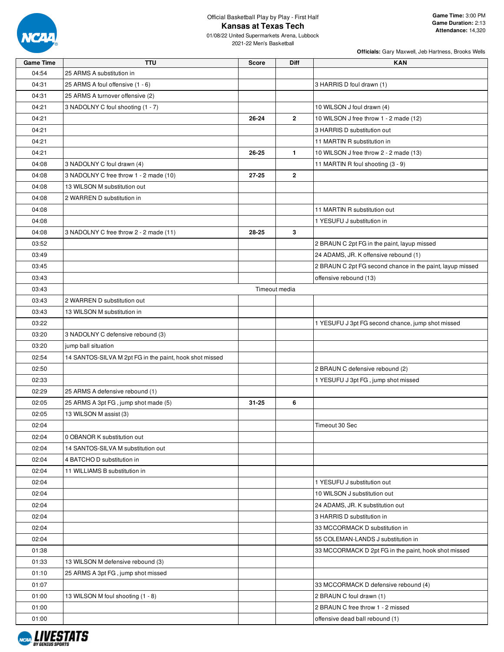

01/08/22 United Supermarkets Arena, Lubbock 2021-22 Men's Basketball

| <b>Game Time</b> | <b>TTU</b>                                              | <b>Score</b> | <b>Diff</b>    | <b>KAN</b>                                                |
|------------------|---------------------------------------------------------|--------------|----------------|-----------------------------------------------------------|
| 04:54            | 25 ARMS A substitution in                               |              |                |                                                           |
| 04:31            | 25 ARMS A foul offensive (1 - 6)                        |              |                | 3 HARRIS D foul drawn (1)                                 |
| 04:31            | 25 ARMS A turnover offensive (2)                        |              |                |                                                           |
| 04:21            | 3 NADOLNY C foul shooting (1 - 7)                       |              |                | 10 WILSON J foul drawn (4)                                |
| 04:21            |                                                         | 26-24        | $\mathbf{2}$   | 10 WILSON J free throw 1 - 2 made (12)                    |
| 04:21            |                                                         |              |                | 3 HARRIS D substitution out                               |
| 04:21            |                                                         |              |                | 11 MARTIN R substitution in                               |
| 04:21            |                                                         | 26-25        | $\mathbf{1}$   | 10 WILSON J free throw 2 - 2 made (13)                    |
| 04:08            | 3 NADOLNY C foul drawn (4)                              |              |                | 11 MARTIN R foul shooting (3 - 9)                         |
| 04:08            | 3 NADOLNY C free throw 1 - 2 made (10)                  | 27-25        | $\overline{2}$ |                                                           |
| 04:08            | 13 WILSON M substitution out                            |              |                |                                                           |
|                  |                                                         |              |                |                                                           |
| 04:08            | 2 WARREN D substitution in                              |              |                |                                                           |
| 04:08            |                                                         |              |                | 11 MARTIN R substitution out                              |
| 04:08            |                                                         |              |                | 1 YESUFU J substitution in                                |
| 04:08            | 3 NADOLNY C free throw 2 - 2 made (11)                  | 28-25        | 3              |                                                           |
| 03:52            |                                                         |              |                | 2 BRAUN C 2pt FG in the paint, layup missed               |
| 03:49            |                                                         |              |                | 24 ADAMS, JR. K offensive rebound (1)                     |
| 03:45            |                                                         |              |                | 2 BRAUN C 2pt FG second chance in the paint, layup missed |
| 03:43            |                                                         |              |                | offensive rebound (13)                                    |
| 03:43            |                                                         |              | Timeout media  |                                                           |
| 03:43            | 2 WARREN D substitution out                             |              |                |                                                           |
| 03:43            | 13 WILSON M substitution in                             |              |                |                                                           |
| 03:22            |                                                         |              |                | 1 YESUFU J 3pt FG second chance, jump shot missed         |
| 03:20            | 3 NADOLNY C defensive rebound (3)                       |              |                |                                                           |
| 03:20            | jump ball situation                                     |              |                |                                                           |
| 02:54            | 14 SANTOS-SILVA M 2pt FG in the paint, hook shot missed |              |                |                                                           |
| 02:50            |                                                         |              |                | 2 BRAUN C defensive rebound (2)                           |
| 02:33            |                                                         |              |                | 1 YESUFU J 3pt FG, jump shot missed                       |
| 02:29            | 25 ARMS A defensive rebound (1)                         |              |                |                                                           |
| 02:05            | 25 ARMS A 3pt FG, jump shot made (5)                    | $31 - 25$    | 6              |                                                           |
| 02:05            | 13 WILSON M assist (3)                                  |              |                |                                                           |
| 02:04            |                                                         |              |                | Timeout 30 Sec                                            |
| 02:04            | 0 OBANOR K substitution out                             |              |                |                                                           |
| 02:04            | 14 SANTOS-SILVA M substitution out                      |              |                |                                                           |
| 02:04            | 4 BATCHO D substitution in                              |              |                |                                                           |
| 02:04            | 11 WILLIAMS B substitution in                           |              |                |                                                           |
| 02:04            |                                                         |              |                | 1 YESUFU J substitution out                               |
| 02:04            |                                                         |              |                | 10 WILSON J substitution out                              |
| 02:04            |                                                         |              |                | 24 ADAMS, JR. K substitution out                          |
| 02:04            |                                                         |              |                | 3 HARRIS D substitution in                                |
| 02:04            |                                                         |              |                | 33 MCCORMACK D substitution in                            |
|                  |                                                         |              |                |                                                           |
| 02:04            |                                                         |              |                | 55 COLEMAN-LANDS J substitution in                        |
| 01:38            |                                                         |              |                | 33 MCCORMACK D 2pt FG in the paint, hook shot missed      |
| 01:33            | 13 WILSON M defensive rebound (3)                       |              |                |                                                           |
| 01:10            | 25 ARMS A 3pt FG, jump shot missed                      |              |                |                                                           |
| 01:07            |                                                         |              |                | 33 MCCORMACK D defensive rebound (4)                      |
| 01:00            | 13 WILSON M foul shooting (1 - 8)                       |              |                | 2 BRAUN C foul drawn (1)                                  |
| 01:00            |                                                         |              |                | 2 BRAUN C free throw 1 - 2 missed                         |
| 01:00            |                                                         |              |                | offensive dead ball rebound (1)                           |

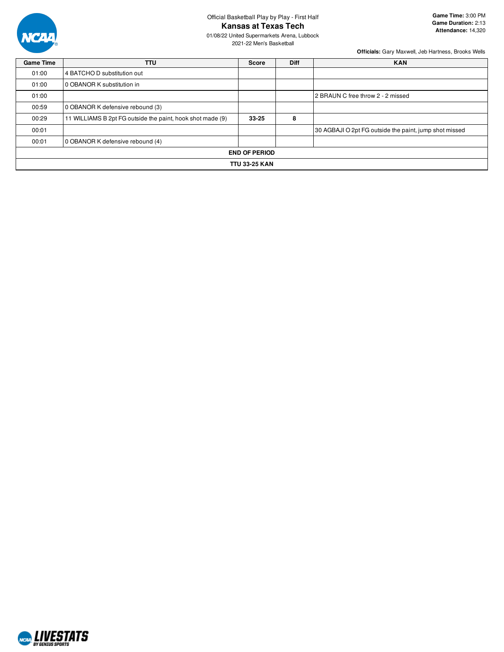

01/08/22 United Supermarkets Arena, Lubbock 2021-22 Men's Basketball

| <b>Game Time</b> | <b>TTU</b>                                                 | <b>Score</b>         | <b>Diff</b> | <b>KAN</b>                                             |
|------------------|------------------------------------------------------------|----------------------|-------------|--------------------------------------------------------|
| 01:00            | 4 BATCHO D substitution out                                |                      |             |                                                        |
| 01:00            | 0 OBANOR K substitution in                                 |                      |             |                                                        |
| 01:00            |                                                            |                      |             | 2 BRAUN C free throw 2 - 2 missed                      |
| 00:59            | 0 OBANOR K defensive rebound (3)                           |                      |             |                                                        |
| 00:29            | 11 WILLIAMS B 2pt FG outside the paint, hook shot made (9) | $33 - 25$            | 8           |                                                        |
| 00:01            |                                                            |                      |             | 30 AGBAJI O 2pt FG outside the paint, jump shot missed |
| 00:01            | 0 OBANOR K defensive rebound (4)                           |                      |             |                                                        |
|                  |                                                            | <b>END OF PERIOD</b> |             |                                                        |
|                  |                                                            | <b>TTU 33-25 KAN</b> |             |                                                        |

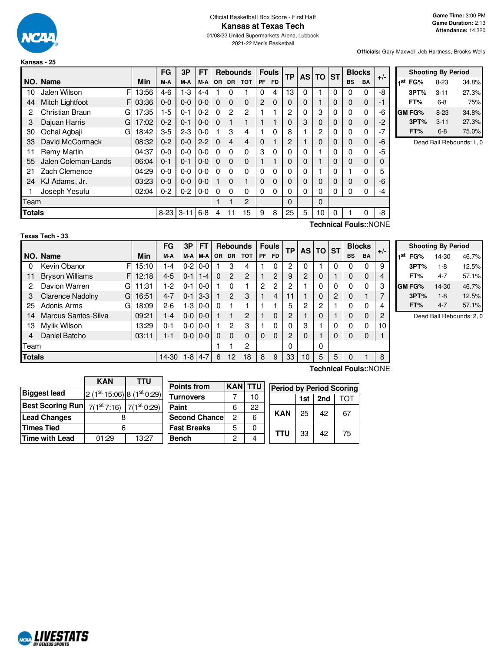

**Kansas - 25**

# Official Basketball Box Score - First Half **Kansas at Texas Tech**

01/08/22 United Supermarkets Arena, Lubbock 2021-22 Men's Basketball

**Officials:** Gary Maxwell, Jeb Hartness, Brooks Wells

**Shooting By Period 1 st FG%** 8-23 34.8% **3PT%** 3-11 27.3% **FT%** 6-8 75% **GM FG%** 8-23 34.8% **3PT%** 3-11 27.3% **FT%** 6-8 75.0% Dead Ball Rebounds: 1, 0

|                       |                        |   |       | FG       | 3P       | FT      |          | <b>Rebounds</b> |            |                | <b>Fouls</b> | <b>TP</b> | <b>AS</b> | <b>TO</b> | <b>ST</b> | <b>Blocks</b> |           | $+/-$ |
|-----------------------|------------------------|---|-------|----------|----------|---------|----------|-----------------|------------|----------------|--------------|-----------|-----------|-----------|-----------|---------------|-----------|-------|
|                       | NO. Name               |   | Min   | M-A      | M-A      | M-A     | OR       | DR              | <b>TOT</b> | PF             | <b>FD</b>    |           |           |           |           | <b>BS</b>     | <b>BA</b> |       |
| 10                    | Jalen Wilson           | F | 13:56 | $4-6$    | $1-3$    | 4-4     |          | 0               |            | 0              | 4            | 13        | $\Omega$  |           | 0         | 0             | 0         | -8    |
| 44                    | <b>Mitch Lightfoot</b> | F | 03:36 | $0 - 0$  | $0 - 0$  | $0 - 0$ | 0        | $\Omega$        | 0          | $\overline{2}$ | $\Omega$     | 0         | 0         |           | 0         | 0             | 0         | -1    |
| 2                     | <b>Christian Braun</b> | G | 17:35 | $1-5$    | $0 - 1$  | $0 - 2$ | 0        | 2               | 2          |                |              | 2         | ი         | 3         | 0         | 0             | 0         | -6    |
| 3                     | Dajuan Harris          | G | 17:02 | $0 - 2$  | $0 - 1$  | $0 - 0$ | 0        | 1               |            |                |              |           | 3         | 0         | 0         | 0             | 0         | $-2$  |
| 30                    | Ochai Agbaji           | G | 18:42 | $3-5$    | $2-3$    | $0 - 0$ |          | 3               | 4          | 1              | 0            | 8         |           | 2         | 0         | 0             | 0         | $-7$  |
| 33                    | David McCormack        |   | 08:32 | $0 - 2$  | $0 - 0$  | $2 - 2$ | $\Omega$ | $\overline{4}$  | 4          | 0              |              | 2         |           | 0         | 0         | 0             | 0         | -6    |
| 11                    | Remy Martin            |   | 04:37 | $0 - 0$  | $0 - 0$  | $0-0$   | $\Omega$ | $\Omega$        | 0          | 3              | 0            | 0         | 0         |           | 0         | 0             | 0         | -5    |
| 55                    | Jalen Coleman-Lands    |   | 06:04 | $0 - 1$  | $0 - 1$  | $0 - 0$ | $\Omega$ | $\mathbf 0$     | 0          | 1              |              | $\Omega$  | 0         |           | 0         | 0             | 0         | 0     |
| 21                    | Zach Clemence          |   | 04:29 | $0-0$    | $0-0$    | $0 - 0$ | 0        | $\Omega$        | 0          | 0              | 0            | 0         | 0         |           | 0         |               | 0         | 5     |
| 24                    | KJ Adams, Jr.          |   | 03:23 | $0 - 0$  | $0-0$    | $0 - 0$ |          | $\mathbf 0$     |            | 0              | $\Omega$     |           | 0         | 0         | 0         | 0             | 0         | -6    |
|                       | Joseph Yesufu          |   | 02:04 | $0 - 2$  | $0 - 2$  | $0-0$   | 0        | $\Omega$        | 0          | 0              | 0            | $\Omega$  | 0         | 0         | 0         | 0             | 0         | -4    |
| Team                  |                        |   |       |          |          |         |          |                 | 2          |                |              | $\Omega$  |           | 0         |           |               |           |       |
| Totals                |                        |   |       | $8 - 23$ | $3 - 11$ | $6 - 8$ | 4        | 11              | 15         | 9              | 8            | 25        | 5         | 10        | 0         |               | 0         | -8    |
| Technical Fouls::NONE |                        |   |       |          |          |         |          |                 |            |                |              |           |           |           |           |               |           |       |

#### **Texas Tech - 33**

F F 12:18 G 11:31 G 16:51 G 18:09 **NO.** Name Min **FG 3P FT Rebounds Fouls TP AS TO ST**  $\begin{bmatrix} \mathsf{FG} & 3\mathsf{P} \mid \mathsf{FT} \mid \mathsf{Rebounds} & \mathsf{Fouls} \ \mathsf{M-A} & \mathsf{M-A} \mid \mathsf{OR} & \mathsf{DR} & \mathsf{TOT} \mid \mathsf{PF} & \mathsf{FD} \end{bmatrix} \mathsf{TP} \mid \mathsf{AS} \mid \mathsf{TO} \mid \mathsf{ST} \mid \mathsf{BIS} \mid \mathsf{BA} \mid \mathsf{H-BIS} \mid \mathsf{BIS}$ 0 Kevin Obanor F 15:10 1-4 0-2 0-0 1 3 4 1 0 2 0 1 0 0 0 9 11 Bryson Williams F | 12:18 | 4-5 | 0-1 | 1-4 | 0 2 2 | 1 2 | 9 | 2 | 0 | 1 | 0 0 | 4 2 Davion Warren G 11:31 1-2 0-1 0-0 1 0 1 2 2 2 1 0 0 0 0 3 3 Clarence Nadolny G | 16:51 | 4-7 | 0-1 | 3-3 | 1 2 3 | 1 4 | 11 | 1 | 0 | 2 | 0 1 | 7 25 Adonis Arms G | 18:09 | 2-6 | 1-3 | 0-0 | 0 | 1 | 1 | 1 | 1 | 5 | 2 | 2 | 1 | 0 | 0 | 4 14 Marcus Santos-Silva | 09:21 | 1-4 | 0-0 | 0-0 | 1 1 2 | 1 0 | 2 | 1 | 0 | 1 | 0 0 | 2 13 Mylik Wilson 13:29 0-1 0-0 0-0 1 2 3 1 0 0 3 1 0 0 0 0 10 4 Daniel Batcho 03:11 1-1 0-0 0-0 0 0 0 0 0 2 0 1 0 0 0 1 Team 1 1 2 0 0 **Totals** 14-30 1-8 4-7 6 12 18 3 3 10 5 5 0 1 8

|                     | <b>Shooting By Period</b> |       |
|---------------------|---------------------------|-------|
| 1 <sup>st</sup> FG% | 14-30                     | 46.7% |
| 3PT%                | $1 - 8$                   | 12.5% |
| FT%                 | 4-7                       | 57.1% |
| <b>GM FG%</b>       | 14-30                     | 46.7% |
| 3PT%                | $1 - 8$                   | 12.5% |
| FT%                 | 4-7                       | 57.1% |

Dead Ball Rebounds: 2, 0

|                         | <b>KAN</b>                 |       |                      |                |    |                                 |     |     |     |
|-------------------------|----------------------------|-------|----------------------|----------------|----|---------------------------------|-----|-----|-----|
|                         |                            | TTU   | Points from          | <b>KAN TTU</b> |    | <b>Period by Period Scoring</b> |     |     |     |
| <b>Biggest lead</b>     | $2(1st 15:06) 8(1st 0:29)$ |       | <b>Turnovers</b>     |                | 10 |                                 | 1st | 2nd | TOT |
| <b>Best Scoring Run</b> | $7(1st7:16)$ $7(1st0:29)$  |       | Paint                | 6              | 22 |                                 |     |     |     |
| <b>Lead Changes</b>     |                            |       | <b>Second Chance</b> | っ              | 6  | <b>KAN</b>                      | 25  | 42  | 67  |
| <b>Times Tied</b>       | 6                          |       | <b>Fast Breaks</b>   | 5              | 0  |                                 |     |     |     |
| Time with Lead          | 01:29                      | 13:27 | <b>Bench</b>         | o              | 4  | TTU                             | 33  | 42  | 75  |

**Technical Fouls:**:NONE

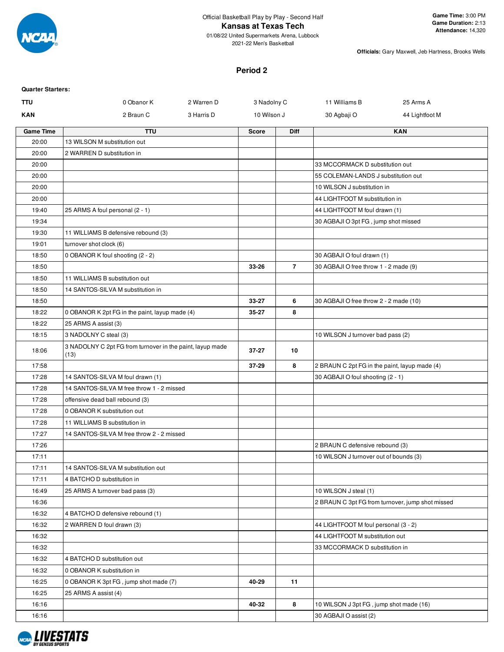

01/08/22 United Supermarkets Arena, Lubbock 2021-22 Men's Basketball

**Officials:** Gary Maxwell, Jeb Hartness, Brooks Wells

## **Period 2**

| <b>Quarter Starters:</b> |                                                                   |            |              |                |                                               |                                                  |
|--------------------------|-------------------------------------------------------------------|------------|--------------|----------------|-----------------------------------------------|--------------------------------------------------|
| TTU                      | 0 Obanor K                                                        | 2 Warren D | 3 Nadolny C  |                | 11 Williams B                                 | 25 Arms A                                        |
| <b>KAN</b>               | 2 Braun C                                                         | 3 Harris D | 10 Wilson J  |                | 30 Agbaji O                                   | 44 Lightfoot M                                   |
| <b>Game Time</b>         | <b>TTU</b>                                                        |            | <b>Score</b> | <b>Diff</b>    |                                               | <b>KAN</b>                                       |
| 20:00                    | 13 WILSON M substitution out                                      |            |              |                |                                               |                                                  |
| 20:00                    | 2 WARREN D substitution in                                        |            |              |                |                                               |                                                  |
| 20:00                    |                                                                   |            |              |                | 33 MCCORMACK D substitution out               |                                                  |
| 20:00                    |                                                                   |            |              |                | 55 COLEMAN-LANDS J substitution out           |                                                  |
| 20:00                    |                                                                   |            |              |                | 10 WILSON J substitution in                   |                                                  |
| 20:00                    |                                                                   |            |              |                | 44 LIGHTFOOT M substitution in                |                                                  |
| 19:40                    | 25 ARMS A foul personal (2 - 1)                                   |            |              |                | 44 LIGHTFOOT M foul drawn (1)                 |                                                  |
| 19:34                    |                                                                   |            |              |                | 30 AGBAJI O 3pt FG, jump shot missed          |                                                  |
| 19:30                    | 11 WILLIAMS B defensive rebound (3)                               |            |              |                |                                               |                                                  |
| 19:01                    | turnover shot clock (6)                                           |            |              |                |                                               |                                                  |
| 18:50                    | 0 OBANOR K foul shooting (2 - 2)                                  |            |              |                | 30 AGBAJI O foul drawn (1)                    |                                                  |
| 18:50                    |                                                                   |            | 33-26        | $\overline{7}$ | 30 AGBAJI O free throw 1 - 2 made (9)         |                                                  |
| 18:50                    | 11 WILLIAMS B substitution out                                    |            |              |                |                                               |                                                  |
| 18:50                    | 14 SANTOS-SILVA M substitution in                                 |            |              |                |                                               |                                                  |
| 18:50                    |                                                                   |            | 33-27        | 6              | 30 AGBAJI O free throw 2 - 2 made (10)        |                                                  |
| 18:22                    | 0 OBANOR K 2pt FG in the paint, layup made (4)                    |            | 35-27        | 8              |                                               |                                                  |
| 18:22                    | 25 ARMS A assist (3)                                              |            |              |                |                                               |                                                  |
| 18:15                    | 3 NADOLNY C steal (3)                                             |            |              |                | 10 WILSON J turnover bad pass (2)             |                                                  |
| 18:06                    | 3 NADOLNY C 2pt FG from turnover in the paint, layup made<br>(13) |            | $37 - 27$    | 10             |                                               |                                                  |
| 17:58                    |                                                                   |            | 37-29        | 8              | 2 BRAUN C 2pt FG in the paint, layup made (4) |                                                  |
| 17:28                    | 14 SANTOS-SILVA M foul drawn (1)                                  |            |              |                | 30 AGBAJI O foul shooting (2 - 1)             |                                                  |
| 17:28                    | 14 SANTOS-SILVA M free throw 1 - 2 missed                         |            |              |                |                                               |                                                  |
| 17:28                    | offensive dead ball rebound (3)                                   |            |              |                |                                               |                                                  |
| 17:28                    | 0 OBANOR K substitution out                                       |            |              |                |                                               |                                                  |
| 17:28                    | 11 WILLIAMS B substitution in                                     |            |              |                |                                               |                                                  |
| 17:27                    | 14 SANTOS-SILVA M free throw 2 - 2 missed                         |            |              |                |                                               |                                                  |
| 17:26                    |                                                                   |            |              |                | 2 BRAUN C defensive rebound (3)               |                                                  |
| 17:11                    |                                                                   |            |              |                | 10 WILSON J turnover out of bounds (3)        |                                                  |
| 17:11                    | 14 SANTOS-SILVA M substitution out                                |            |              |                |                                               |                                                  |
| 17:11                    | 4 BATCHO D substitution in                                        |            |              |                |                                               |                                                  |
| 16:49                    | 25 ARMS A turnover bad pass (3)                                   |            |              |                | 10 WILSON J steal (1)                         |                                                  |
| 16:36                    |                                                                   |            |              |                |                                               | 2 BRAUN C 3pt FG from turnover, jump shot missed |
| 16:32                    | 4 BATCHO D defensive rebound (1)                                  |            |              |                |                                               |                                                  |
| 16:32                    | 2 WARREN D foul drawn (3)                                         |            |              |                | 44 LIGHTFOOT M foul personal (3 - 2)          |                                                  |
| 16:32                    |                                                                   |            |              |                | 44 LIGHTFOOT M substitution out               |                                                  |
| 16:32                    |                                                                   |            |              |                | 33 MCCORMACK D substitution in                |                                                  |
| 16:32                    | 4 BATCHO D substitution out                                       |            |              |                |                                               |                                                  |
| 16:32                    | 0 OBANOR K substitution in                                        |            |              |                |                                               |                                                  |
| 16:25                    | 0 OBANOR K 3pt FG, jump shot made (7)                             |            | 40-29        | 11             |                                               |                                                  |
| 16:25                    | 25 ARMS A assist (4)                                              |            |              |                |                                               |                                                  |
| 16:16                    |                                                                   |            | 40-32        | 8              | 10 WILSON J 3pt FG, jump shot made (16)       |                                                  |
| 16:16                    |                                                                   |            |              |                | 30 AGBAJI O assist (2)                        |                                                  |

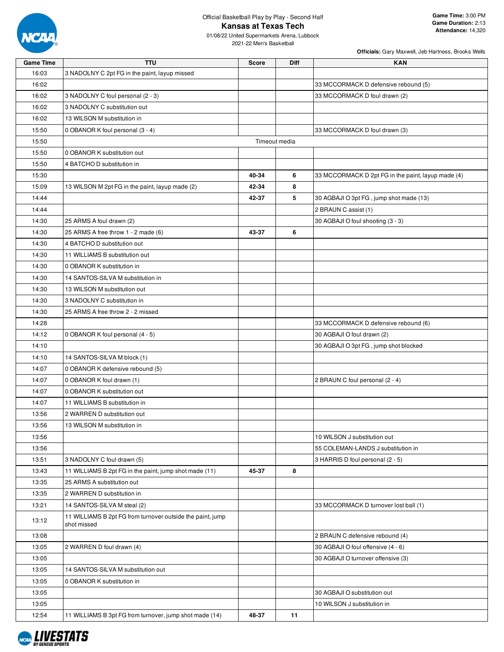

01/08/22 United Supermarkets Arena, Lubbock 2021-22 Men's Basketball

| <b>Game Time</b> | <b>TTU</b>                                                                | <b>Score</b>  | Diff | <b>KAN</b>                                         |
|------------------|---------------------------------------------------------------------------|---------------|------|----------------------------------------------------|
| 16:03            | 3 NADOLNY C 2pt FG in the paint, layup missed                             |               |      |                                                    |
| 16:02            |                                                                           |               |      | 33 MCCORMACK D defensive rebound (5)               |
| 16:02            | 3 NADOLNY C foul personal (2 - 3)                                         |               |      | 33 MCCORMACK D foul drawn (2)                      |
| 16:02            | 3 NADOLNY C substitution out                                              |               |      |                                                    |
| 16:02            | 13 WILSON M substitution in                                               |               |      |                                                    |
| 15:50            | 0 OBANOR K foul personal (3 - 4)                                          |               |      | 33 MCCORMACK D foul drawn (3)                      |
| 15:50            |                                                                           | Timeout media |      |                                                    |
| 15:50            | 0 OBANOR K substitution out                                               |               |      |                                                    |
| 15:50            | 4 BATCHO D substitution in                                                |               |      |                                                    |
| 15:30            |                                                                           | 40-34         | 6    | 33 MCCORMACK D 2pt FG in the paint, layup made (4) |
| 15:09            | 13 WILSON M 2pt FG in the paint, layup made (2)                           | 42-34         | 8    |                                                    |
| 14:44            |                                                                           | 42-37         | 5    | 30 AGBAJI O 3pt FG, jump shot made (13)            |
| 14:44            |                                                                           |               |      | 2 BRAUN C assist (1)                               |
| 14:30            | 25 ARMS A foul drawn (2)                                                  |               |      | 30 AGBAJI O foul shooting (3 - 3)                  |
| 14:30            | 25 ARMS A free throw 1 - 2 made (6)                                       | 43-37         | 6    |                                                    |
| 14:30            | 4 BATCHO D substitution out                                               |               |      |                                                    |
| 14:30            | 11 WILLIAMS B substitution out                                            |               |      |                                                    |
| 14:30            | 0 OBANOR K substitution in                                                |               |      |                                                    |
| 14:30            | 14 SANTOS-SILVA M substitution in                                         |               |      |                                                    |
| 14:30            | 13 WILSON M substitution out                                              |               |      |                                                    |
| 14:30            | 3 NADOLNY C substitution in                                               |               |      |                                                    |
| 14:30            | 25 ARMS A free throw 2 - 2 missed                                         |               |      |                                                    |
| 14:28            |                                                                           |               |      | 33 MCCORMACK D defensive rebound (6)               |
| 14:12            | 0 OBANOR K foul personal (4 - 5)                                          |               |      | 30 AGBAJI O foul drawn (2)                         |
| 14:10            |                                                                           |               |      | 30 AGBAJI O 3pt FG, jump shot blocked              |
| 14:10            | 14 SANTOS-SILVA M block (1)                                               |               |      |                                                    |
| 14:07            | 0 OBANOR K defensive rebound (5)                                          |               |      |                                                    |
| 14:07            | 0 OBANOR K foul drawn (1)                                                 |               |      | 2 BRAUN C foul personal (2 - 4)                    |
| 14:07            | 0 OBANOR K substitution out                                               |               |      |                                                    |
| 14:07            |                                                                           |               |      |                                                    |
|                  | 11 WILLIAMS B substitution in                                             |               |      |                                                    |
| 13:56            | 2 WARREN D substitution out                                               |               |      |                                                    |
| 13:56            | 13 WILSON M substitution in                                               |               |      |                                                    |
| 13:56            |                                                                           |               |      | 10 WILSON J substitution out                       |
| 13:56            |                                                                           |               |      | 55 COLEMAN-LANDS J substitution in                 |
| 13:51            | 3 NADOLNY C foul drawn (5)                                                |               |      | 3 HARRIS D foul personal (2 - 5)                   |
| 13:43            | 11 WILLIAMS B 2pt FG in the paint, jump shot made (11)                    | 45-37         | 8    |                                                    |
| 13:35            | 25 ARMS A substitution out                                                |               |      |                                                    |
| 13:35            | 2 WARREN D substitution in                                                |               |      |                                                    |
| 13:21            | 14 SANTOS-SILVA M steal (2)                                               |               |      | 33 MCCORMACK D turnover lost ball (1)              |
| 13:12            | 11 WILLIAMS B 2pt FG from turnover outside the paint, jump<br>shot missed |               |      |                                                    |
| 13:08            |                                                                           |               |      | 2 BRAUN C defensive rebound (4)                    |
| 13:05            | 2 WARREN D foul drawn (4)                                                 |               |      | 30 AGBAJI O foul offensive (4 - 6)                 |
| 13:05            |                                                                           |               |      | 30 AGBAJI O turnover offensive (3)                 |
| 13:05            | 14 SANTOS-SILVA M substitution out                                        |               |      |                                                    |
| 13:05            | 0 OBANOR K substitution in                                                |               |      |                                                    |
| 13:05            |                                                                           |               |      | 30 AGBAJI O substitution out                       |
| 13:05            |                                                                           |               |      | 10 WILSON J substitution in                        |
| 12:54            | 11 WILLIAMS B 3pt FG from turnover, jump shot made (14)                   | 48-37         | 11   |                                                    |

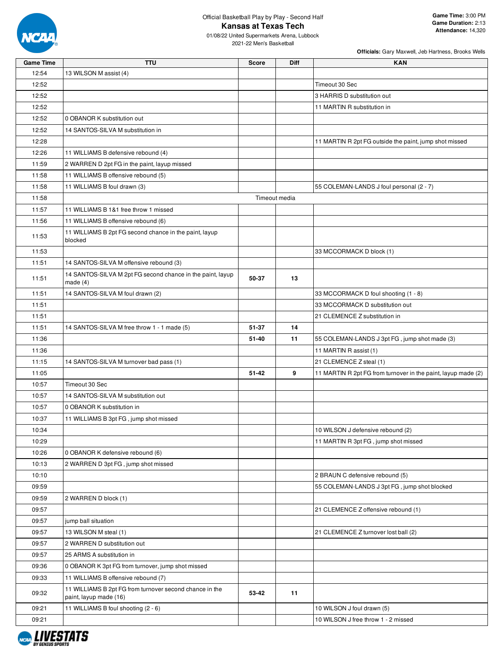

| <b>Game Time</b> | <b>TTU</b>                                                                        | <b>Score</b> | Diff          | <b>KAN</b>                                                    |
|------------------|-----------------------------------------------------------------------------------|--------------|---------------|---------------------------------------------------------------|
| 12:54            | 13 WILSON M assist (4)                                                            |              |               |                                                               |
| 12:52            |                                                                                   |              |               | Timeout 30 Sec                                                |
| 12:52            |                                                                                   |              |               | 3 HARRIS D substitution out                                   |
| 12:52            |                                                                                   |              |               | 11 MARTIN R substitution in                                   |
| 12:52            | 0 OBANOR K substitution out                                                       |              |               |                                                               |
| 12:52            | 14 SANTOS-SILVA M substitution in                                                 |              |               |                                                               |
| 12:28            |                                                                                   |              |               | 11 MARTIN R 2pt FG outside the paint, jump shot missed        |
| 12:26            | 11 WILLIAMS B defensive rebound (4)                                               |              |               |                                                               |
| 11:59            | 2 WARREN D 2pt FG in the paint, layup missed                                      |              |               |                                                               |
| 11:58            | 11 WILLIAMS B offensive rebound (5)                                               |              |               |                                                               |
| 11:58            | 11 WILLIAMS B foul drawn (3)                                                      |              |               | 55 COLEMAN-LANDS J foul personal (2 - 7)                      |
| 11:58            |                                                                                   |              | Timeout media |                                                               |
| 11:57            | 11 WILLIAMS B 1&1 free throw 1 missed                                             |              |               |                                                               |
| 11:56            | 11 WILLIAMS B offensive rebound (6)                                               |              |               |                                                               |
|                  | 11 WILLIAMS B 2pt FG second chance in the paint, layup                            |              |               |                                                               |
| 11:53            | blocked                                                                           |              |               |                                                               |
| 11:53            |                                                                                   |              |               | 33 MCCORMACK D block (1)                                      |
| 11:51            | 14 SANTOS-SILVA M offensive rebound (3)                                           |              |               |                                                               |
| 11:51            | 14 SANTOS-SILVA M 2pt FG second chance in the paint, layup                        | 50-37        | 13            |                                                               |
|                  | made (4)                                                                          |              |               |                                                               |
| 11:51            | 14 SANTOS-SILVA M foul drawn (2)                                                  |              |               | 33 MCCORMACK D foul shooting (1 - 8)                          |
| 11:51            |                                                                                   |              |               | 33 MCCORMACK D substitution out                               |
| 11:51            |                                                                                   |              |               | 21 CLEMENCE Z substitution in                                 |
| 11:51            | 14 SANTOS-SILVA M free throw 1 - 1 made (5)                                       | 51-37        | 14            |                                                               |
| 11:36            |                                                                                   | 51-40        | 11            | 55 COLEMAN-LANDS J 3pt FG, jump shot made (3)                 |
| 11:36            |                                                                                   |              |               | 11 MARTIN R assist (1)                                        |
| 11:15            | 14 SANTOS-SILVA M turnover bad pass (1)                                           |              |               | 21 CLEMENCE Z steal (1)                                       |
| 11:05            |                                                                                   | $51 - 42$    | 9             | 11 MARTIN R 2pt FG from turnover in the paint, layup made (2) |
| 10:57            | Timeout 30 Sec                                                                    |              |               |                                                               |
| 10:57            | 14 SANTOS-SILVA M substitution out                                                |              |               |                                                               |
| 10:57            | 0 OBANOR K substitution in                                                        |              |               |                                                               |
| 10:37            | 11 WILLIAMS B 3pt FG, jump shot missed                                            |              |               |                                                               |
| 10:34            |                                                                                   |              |               | 10 WILSON J defensive rebound (2)                             |
| 10:29            |                                                                                   |              |               | 11 MARTIN R 3pt FG, jump shot missed                          |
| 10:26            | 0 OBANOR K defensive rebound (6)                                                  |              |               |                                                               |
| 10:13            | 2 WARREN D 3pt FG, jump shot missed                                               |              |               |                                                               |
| 10:10            |                                                                                   |              |               | 2 BRAUN C defensive rebound (5)                               |
| 09:59            |                                                                                   |              |               | 55 COLEMAN-LANDS J 3pt FG, jump shot blocked                  |
| 09:59            | 2 WARREN D block (1)                                                              |              |               |                                                               |
| 09:57            |                                                                                   |              |               | 21 CLEMENCE Z offensive rebound (1)                           |
| 09:57            | jump ball situation                                                               |              |               |                                                               |
| 09:57            | 13 WILSON M steal (1)                                                             |              |               | 21 CLEMENCE Z turnover lost ball (2)                          |
| 09:57            | 2 WARREN D substitution out                                                       |              |               |                                                               |
| 09:57            | 25 ARMS A substitution in                                                         |              |               |                                                               |
| 09:36            | 0 OBANOR K 3pt FG from turnover, jump shot missed                                 |              |               |                                                               |
| 09:33            | 11 WILLIAMS B offensive rebound (7)                                               |              |               |                                                               |
| 09:32            | 11 WILLIAMS B 2pt FG from turnover second chance in the<br>paint, layup made (16) | 53-42        | 11            |                                                               |
| 09:21            | 11 WILLIAMS B foul shooting (2 - 6)                                               |              |               | 10 WILSON J foul drawn (5)                                    |
| 09:21            |                                                                                   |              |               | 10 WILSON J free throw 1 - 2 missed                           |
|                  |                                                                                   |              |               |                                                               |

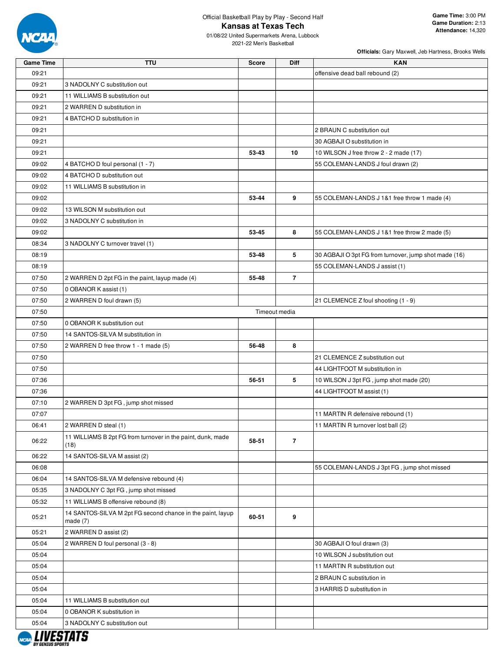

| <b>Game Time</b> | <b>TTU</b>                                                               | <b>Score</b> | <b>Diff</b>    | <b>KAN</b>                                            |
|------------------|--------------------------------------------------------------------------|--------------|----------------|-------------------------------------------------------|
| 09:21            |                                                                          |              |                | offensive dead ball rebound (2)                       |
| 09:21            | 3 NADOLNY C substitution out                                             |              |                |                                                       |
| 09:21            | 11 WILLIAMS B substitution out                                           |              |                |                                                       |
| 09:21            | 2 WARREN D substitution in                                               |              |                |                                                       |
| 09:21            | 4 BATCHO D substitution in                                               |              |                |                                                       |
| 09:21            |                                                                          |              |                | 2 BRAUN C substitution out                            |
| 09:21            |                                                                          |              |                | 30 AGBAJI O substitution in                           |
| 09:21            |                                                                          | 53-43        | 10             | 10 WILSON J free throw 2 - 2 made (17)                |
| 09:02            | 4 BATCHO D foul personal (1 - 7)                                         |              |                | 55 COLEMAN-LANDS J foul drawn (2)                     |
| 09:02            | 4 BATCHO D substitution out                                              |              |                |                                                       |
| 09:02            | 11 WILLIAMS B substitution in                                            |              |                |                                                       |
| 09:02            |                                                                          | 53-44        | 9              | 55 COLEMAN-LANDS J 1&1 free throw 1 made (4)          |
| 09:02            | 13 WILSON M substitution out                                             |              |                |                                                       |
| 09:02            | 3 NADOLNY C substitution in                                              |              |                |                                                       |
| 09:02            |                                                                          | 53-45        | 8              | 55 COLEMAN-LANDS J 1&1 free throw 2 made (5)          |
| 08:34            | 3 NADOLNY C turnover travel (1)                                          |              |                |                                                       |
| 08:19            |                                                                          | 53-48        | 5              | 30 AGBAJI O 3pt FG from turnover, jump shot made (16) |
| 08:19            |                                                                          |              |                | 55 COLEMAN-LANDS J assist (1)                         |
| 07:50            | 2 WARREN D 2pt FG in the paint, layup made (4)                           | 55-48        | $\overline{7}$ |                                                       |
| 07:50            | 0 OBANOR K assist (1)                                                    |              |                |                                                       |
| 07:50            | 2 WARREN D foul drawn (5)                                                |              |                | 21 CLEMENCE Z foul shooting (1 - 9)                   |
| 07:50            |                                                                          |              | Timeout media  |                                                       |
| 07:50            | 0 OBANOR K substitution out                                              |              |                |                                                       |
| 07:50            | 14 SANTOS-SILVA M substitution in                                        |              |                |                                                       |
| 07:50            |                                                                          | 56-48        | 8              |                                                       |
| 07:50            | 2 WARREN D free throw 1 - 1 made (5)                                     |              |                | 21 CLEMENCE Z substitution out                        |
| 07:50            |                                                                          |              |                | 44 LIGHTFOOT M substitution in                        |
| 07:36            |                                                                          | 56-51        | 5              | 10 WILSON J 3pt FG, jump shot made (20)               |
|                  |                                                                          |              |                |                                                       |
| 07:36            |                                                                          |              |                | 44 LIGHTFOOT M assist (1)                             |
| 07:10            | 2 WARREN D 3pt FG, jump shot missed                                      |              |                |                                                       |
| 07:07            |                                                                          |              |                | 11 MARTIN R defensive rebound (1)                     |
| 06:41            | 2 WARREN D steal (1)                                                     |              |                | 11 MARTIN R turnover lost ball (2)                    |
| 06:22            | 11 WILLIAMS B 2pt FG from turnover in the paint, dunk, made<br>(18)      | 58-51        | $\overline{7}$ |                                                       |
| 06:22            | 14 SANTOS-SILVA M assist (2)                                             |              |                |                                                       |
| 06:08            |                                                                          |              |                | 55 COLEMAN-LANDS J 3pt FG, jump shot missed           |
| 06:04            | 14 SANTOS-SILVA M defensive rebound (4)                                  |              |                |                                                       |
| 05:35            | 3 NADOLNY C 3pt FG, jump shot missed                                     |              |                |                                                       |
| 05:32            | 11 WILLIAMS B offensive rebound (8)                                      |              |                |                                                       |
| 05:21            | 14 SANTOS-SILVA M 2pt FG second chance in the paint, layup<br>made $(7)$ | 60-51        | 9              |                                                       |
| 05:21            | 2 WARREN D assist (2)                                                    |              |                |                                                       |
| 05:04            | 2 WARREN D foul personal (3 - 8)                                         |              |                | 30 AGBAJI O foul drawn (3)                            |
| 05:04            |                                                                          |              |                | 10 WILSON J substitution out                          |
| 05:04            |                                                                          |              |                | 11 MARTIN R substitution out                          |
| 05:04            |                                                                          |              |                | 2 BRAUN C substitution in                             |
| 05:04            |                                                                          |              |                | 3 HARRIS D substitution in                            |
| 05:04            | 11 WILLIAMS B substitution out                                           |              |                |                                                       |
| 05:04            | 0 OBANOR K substitution in                                               |              |                |                                                       |
| 05:04            | 3 NADOLNY C substitution out                                             |              |                |                                                       |
|                  |                                                                          |              |                |                                                       |

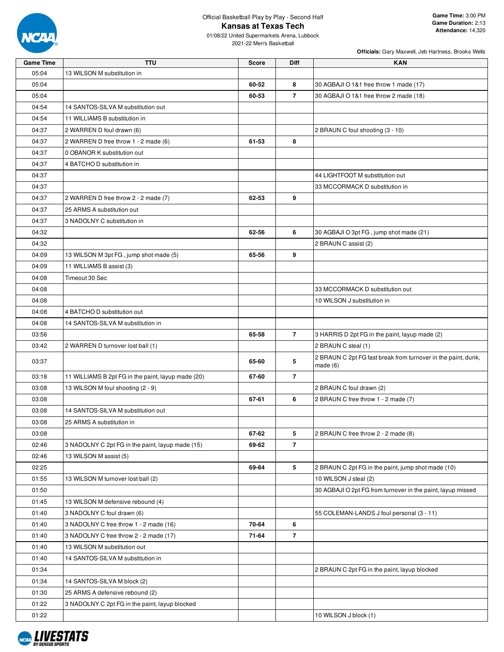

01/08/22 United Supermarkets Arena, Lubbock 2021-22 Men's Basketball

| <b>Game Time</b> | <b>TTU</b>                                         | <b>Score</b> | <b>Diff</b>             | <b>KAN</b>                                                    |
|------------------|----------------------------------------------------|--------------|-------------------------|---------------------------------------------------------------|
| 05:04            | 13 WILSON M substitution in                        |              |                         |                                                               |
| 05:04            |                                                    | 60-52        | 8                       | 30 AGBAJI O 1&1 free throw 1 made (17)                        |
| 05:04            |                                                    | 60-53        | $\overline{7}$          | 30 AGBAJI O 1&1 free throw 2 made (18)                        |
| 04:54            | 14 SANTOS-SILVA M substitution out                 |              |                         |                                                               |
| 04:54            | 11 WILLIAMS B substitution in                      |              |                         |                                                               |
| 04:37            | 2 WARREN D foul drawn (6)                          |              |                         | 2 BRAUN C foul shooting (3 - 10)                              |
| 04:37            | 2 WARREN D free throw 1 - 2 made (6)               | 61-53        | 8                       |                                                               |
| 04:37            | 0 OBANOR K substitution out                        |              |                         |                                                               |
| 04:37            | 4 BATCHO D substitution in                         |              |                         |                                                               |
| 04:37            |                                                    |              |                         | 44 LIGHTFOOT M substitution out                               |
| 04:37            |                                                    |              |                         | 33 MCCORMACK D substitution in                                |
| 04:37            | 2 WARREN D free throw 2 - 2 made (7)               | 62-53        | 9                       |                                                               |
| 04:37            | 25 ARMS A substitution out                         |              |                         |                                                               |
| 04:37            | 3 NADOLNY C substitution in                        |              |                         |                                                               |
| 04:32            |                                                    | 62-56        | 6                       | 30 AGBAJI O 3pt FG, jump shot made (21)                       |
| 04:32            |                                                    |              |                         | 2 BRAUN C assist (2)                                          |
| 04:09            | 13 WILSON M 3pt FG, jump shot made (5)             | 65-56        | 9                       |                                                               |
| 04:09            | 11 WILLIAMS B assist (3)                           |              |                         |                                                               |
| 04:08            | Timeout 30 Sec                                     |              |                         |                                                               |
| 04:08            |                                                    |              |                         | 33 MCCORMACK D substitution out                               |
| 04:08            |                                                    |              |                         | 10 WILSON J substitution in                                   |
| 04:08            | 4 BATCHO D substitution out                        |              |                         |                                                               |
| 04:08            | 14 SANTOS-SILVA M substitution in                  |              |                         |                                                               |
| 03:56            |                                                    | 65-58        | $\overline{7}$          | 3 HARRIS D 2pt FG in the paint, layup made (2)                |
| 03:42            | 2 WARREN D turnover lost ball (1)                  |              |                         | 2 BRAUN C steal (1)                                           |
|                  |                                                    |              |                         | 2 BRAUN C 2pt FG fast break from turnover in the paint, dunk, |
| 03:37            |                                                    | 65-60        | 5                       | made $(6)$                                                    |
| 03:18            | 11 WILLIAMS B 2pt FG in the paint, layup made (20) | 67-60        | $\overline{7}$          |                                                               |
| 03:08            | 13 WILSON M foul shooting (2 - 9)                  |              |                         | 2 BRAUN C foul drawn (2)                                      |
| 03:08            |                                                    | 67-61        | 6                       | 2 BRAUN C free throw 1 - 2 made (7)                           |
| 03:08            | 14 SANTOS-SILVA M substitution out                 |              |                         |                                                               |
| 03:08            | 25 ARMS A substitution in                          |              |                         |                                                               |
| 03:08            |                                                    | 67-62        | 5                       | 2 BRAUN C free throw 2 - 2 made (8)                           |
| 02:46            | 3 NADOLNY C 2pt FG in the paint, layup made (15)   | 69-62        | $\overline{\mathbf{r}}$ |                                                               |
| 02:46            | 13 WILSON M assist (5)                             |              |                         |                                                               |
| 02:25            |                                                    | 69-64        | 5                       | 2 BRAUN C 2pt FG in the paint, jump shot made (10)            |
| 01:55            | 13 WILSON M turnover lost ball (2)                 |              |                         | 10 WILSON J steal (2)                                         |
| 01:50            |                                                    |              |                         | 30 AGBAJI O 2pt FG from turnover in the paint, layup missed   |
| 01:45            | 13 WILSON M defensive rebound (4)                  |              |                         |                                                               |
| 01:40            | 3 NADOLNY C foul drawn (6)                         |              |                         | 55 COLEMAN-LANDS J foul personal (3 - 11)                     |
| 01:40            | 3 NADOLNY C free throw 1 - 2 made (16)             | 70-64        | 6                       |                                                               |
| 01:40            | 3 NADOLNY C free throw 2 - 2 made (17)             | 71-64        | $\overline{7}$          |                                                               |
| 01:40            | 13 WILSON M substitution out                       |              |                         |                                                               |
| 01:40            | 14 SANTOS-SILVA M substitution in                  |              |                         |                                                               |
| 01:34            |                                                    |              |                         | 2 BRAUN C 2pt FG in the paint, layup blocked                  |
| 01:34            | 14 SANTOS-SILVA M block (2)                        |              |                         |                                                               |
| 01:30            | 25 ARMS A defensive rebound (2)                    |              |                         |                                                               |
| 01:22            | 3 NADOLNY C 2pt FG in the paint, layup blocked     |              |                         |                                                               |
| 01:22            |                                                    |              |                         | 10 WILSON J block (1)                                         |

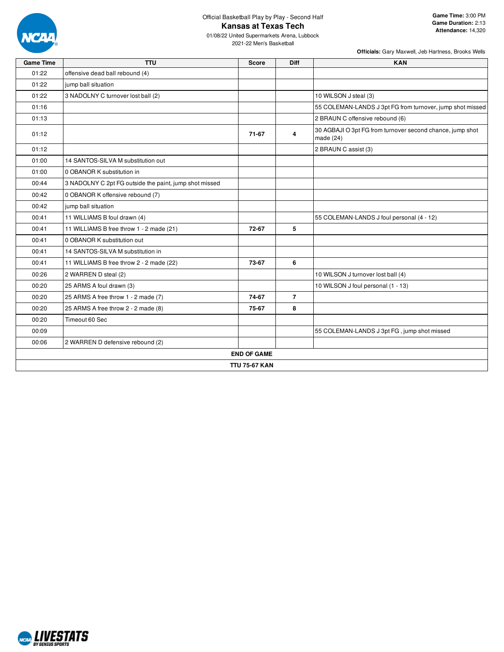

**Game Time:** 3:00 PM **Game Duration:** 2:13 **Attendance:** 14,320

01/08/22 United Supermarkets Arena, Lubbock 2021-22 Men's Basketball

| <b>Game Time</b> | <b>TTU</b>                                             | <b>Score</b>         | <b>Diff</b>    | <b>KAN</b>                                                               |
|------------------|--------------------------------------------------------|----------------------|----------------|--------------------------------------------------------------------------|
| 01:22            | offensive dead ball rebound (4)                        |                      |                |                                                                          |
| 01:22            | jump ball situation                                    |                      |                |                                                                          |
| 01:22            | 3 NADOLNY C turnover lost ball (2)                     |                      |                | 10 WILSON J steal (3)                                                    |
| 01:16            |                                                        |                      |                | 55 COLEMAN-LANDS J 3pt FG from turnover, jump shot missed                |
| 01:13            |                                                        |                      |                | 2 BRAUN C offensive rebound (6)                                          |
| 01:12            |                                                        | 71-67                | 4              | 30 AGBAJI O 3pt FG from turnover second chance, jump shot<br>made $(24)$ |
| 01:12            |                                                        |                      |                | 2 BRAUN C assist (3)                                                     |
| 01:00            | 14 SANTOS-SILVA M substitution out                     |                      |                |                                                                          |
| 01:00            | 0 OBANOR K substitution in                             |                      |                |                                                                          |
| 00:44            | 3 NADOLNY C 2pt FG outside the paint, jump shot missed |                      |                |                                                                          |
| 00:42            | 0 OBANOR K offensive rebound (7)                       |                      |                |                                                                          |
| 00:42            | jump ball situation                                    |                      |                |                                                                          |
| 00:41            | 11 WILLIAMS B foul drawn (4)                           |                      |                | 55 COLEMAN-LANDS J foul personal (4 - 12)                                |
| 00:41            | 11 WILLIAMS B free throw 1 - 2 made (21)               | 72-67                | 5              |                                                                          |
| 00:41            | 0 OBANOR K substitution out                            |                      |                |                                                                          |
| 00:41            | 14 SANTOS-SILVA M substitution in                      |                      |                |                                                                          |
| 00:41            | 11 WILLIAMS B free throw 2 - 2 made (22)               | 73-67                | 6              |                                                                          |
| 00:26            | 2 WARREN D steal (2)                                   |                      |                | 10 WILSON J turnover lost ball (4)                                       |
| 00:20            | 25 ARMS A foul drawn (3)                               |                      |                | 10 WILSON J foul personal (1 - 13)                                       |
| 00:20            | 25 ARMS A free throw 1 - 2 made (7)                    | 74-67                | $\overline{7}$ |                                                                          |
| 00:20            | 25 ARMS A free throw 2 - 2 made (8)                    | 75-67                | 8              |                                                                          |
| 00:20            | Timeout 60 Sec                                         |                      |                |                                                                          |
| 00:09            |                                                        |                      |                | 55 COLEMAN-LANDS J 3pt FG, jump shot missed                              |
| 00:06            | 2 WARREN D defensive rebound (2)                       |                      |                |                                                                          |
|                  |                                                        | <b>END OF GAME</b>   |                |                                                                          |
|                  |                                                        | <b>TTU 75-67 KAN</b> |                |                                                                          |

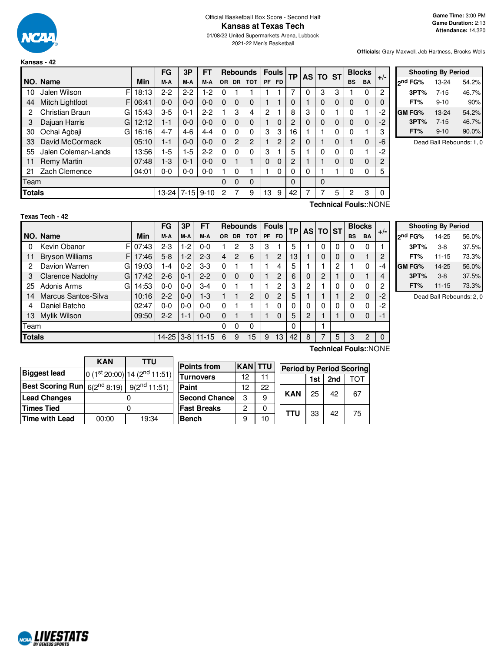

# Official Basketball Box Score - Second Half **Kansas at Texas Tech**

01/08/22 United Supermarkets Arena, Lubbock 2021-22 Men's Basketball

**Officials:** Gary Maxwell, Jeb Hartness, Brooks Wells

|               |                     |             | FG        | 3P       | <b>FT</b> |              | <b>Rebounds</b> |                | <b>Fouls</b> |                | <b>TP</b> |          | <b>AS TO</b> | <b>IST</b> |              | <b>Blocks</b> | $+/-$    |
|---------------|---------------------|-------------|-----------|----------|-----------|--------------|-----------------|----------------|--------------|----------------|-----------|----------|--------------|------------|--------------|---------------|----------|
|               | NO. Name            | Min         | M-A       | M-A      | M-A       | OR.          | <b>DR</b>       | <b>TOT</b>     | <b>PF</b>    | <b>FD</b>      |           |          |              |            | <b>BS</b>    | <b>BA</b>     |          |
| 10            | Jalen Wilson        | FI<br>18:13 | $2 - 2$   | $2 - 2$  | $1-2$     | 0            |                 |                |              |                |           | 0        | 3            | 3          |              | 0             | 2        |
| 44            | Mitch Lightfoot     | 06:41<br>FI | $0 - 0$   | $0 - 0$  | $0 - 0$   | 0            | $\Omega$        | 0              |              |                | $\Omega$  |          | 0            | $\Omega$   | $\Omega$     | 0             | 0        |
| 2             | Christian Braun     | 15:43<br>G  | $3-5$     | $0 - 1$  | $2 - 2$   |              | 3               | 4              | 2            |                | 8         | 3        | 0            |            | 0            |               | $-2$     |
| 3             | Dajuan Harris<br>G  | 12:12       | $1 - 1$   | $0 - 0$  | $0 - 0$   | 0            | $\Omega$        | 0              |              | 0              | 2         | $\Omega$ | $\Omega$     | $\Omega$   | $\Omega$     | $\Omega$      | $-2$     |
| 30            | Ochai Agbaji<br>G   | 16:16       | $4 - 7$   | $4-6$    | $4 - 4$   | 0            | $\Omega$        | 0              | 3            | 3              | 16        |          |              | 0          | 0            | 4             | 3        |
| 33            | David McCormack     | 05:10       | 1-1       | $0 - 0$  | $0 - 0$   | $\Omega$     | $\overline{2}$  | $\overline{c}$ |              | $\overline{c}$ | 2         | $\Omega$ |              | $\Omega$   |              | $\mathbf{0}$  | -6       |
| 55            | Jalen Coleman-Lands | 13:56       | $1-5$     | $1-5$    | $2 - 2$   | $\Omega$     | $\Omega$        | 0              | 3            |                | 5         |          | 0            | 0          | $\mathbf{0}$ | 4             | $-2$     |
| 11            | <b>Remy Martin</b>  | 07:48       | $1-3$     | $0 - 1$  | $0 - 0$   | 0            |                 |                | $\Omega$     | $\Omega$       | 2         |          |              | $\Omega$   | $\Omega$     | $\mathbf{0}$  | 2        |
| 21            | Zach Clemence       | 04:01       | $0-0$     | $0-0$    | $0-0$     |              | $\Omega$        |                |              | 0              | 0         | 0        |              |            | 0            | 0             | 5        |
| Team          |                     |             |           |          |           | $\Omega$     | $\Omega$        | 0              |              |                | $\Omega$  |          | $\Omega$     |            |              |               |          |
| <b>Totals</b> |                     |             | $13 - 24$ | $7 - 15$ | $9 - 10$  | $\mathbf{2}$ |                 | 9              | 13           | 9              | 42        |          | 7            | 5          | 2            | 3             | $\Omega$ |

|               | <b>Shooting By Period</b> |       |
|---------------|---------------------------|-------|
| ond FG%       | 13-24                     | 54.2% |
| 3PT%          | $7 - 15$                  | 46.7% |
| FT%           | $9 - 10$                  | 90%   |
| <b>GM FG%</b> | 13-24                     | 54.2% |
| 3PT%          | $7 - 15$                  | 46.7% |
| FT%           | $9 - 10$                  | 90.0% |

Dead Ball Rebounds: 1, 0

| Texas Tech - 42 |
|-----------------|
|-----------------|

**Technical Fouls:**:NONE

|               |                        |            | FG      | 3P      | FТ                  |           | <b>Rebounds</b> |                | <b>Fouls</b> |                | <b>TP</b> |   | AS TO ST |   |           | <b>Blocks</b> | $+/-$    |
|---------------|------------------------|------------|---------|---------|---------------------|-----------|-----------------|----------------|--------------|----------------|-----------|---|----------|---|-----------|---------------|----------|
|               | NO. Name               | Min        | M-A     | M-A     | M-A                 | <b>OR</b> |                 | DR TOT         |              | PF FD          |           |   |          |   | <b>BS</b> | <b>BA</b>     |          |
| 0             | Kevin Obanor           | F<br>07:43 | $2-3$   | $1-2$   | $0 - 0$             |           | 2               | 3              | 3            |                | 5         |   | 0        | 0 | 0         | 0             |          |
| 11            | <b>Bryson Williams</b> | F<br>17:46 | $5-8$   | $1 - 2$ | $2 - 3$             | 4         | 2               | 6              |              | $\overline{c}$ | 13        |   | $\Omega$ | 0 | 0         |               | 2        |
| 2             | Davion Warren          | G<br>19:03 | 1-4     | $0 - 2$ | 3-3                 | 0         |                 |                |              | 4              | 5         |   |          | 2 |           | 0             | -4       |
| 3             | Clarence Nadolny       | 17:42<br>G | $2-6$   | $0 - 1$ | $2-2$               | 0         | $\Omega$        | 0              |              | 2              | 6         | 0 | 2        |   | 0         |               | 4        |
| 25            | Adonis Arms            | 14:53<br>G | $0 - 0$ | $0 - 0$ | 3-4                 | $\Omega$  |                 |                |              | 2              | 3         | 2 |          | 0 | 0         | 0             | 2        |
| 14            | Marcus Santos-Silva    | 10:16      | $2 - 2$ | $0 - 0$ | 1-3                 |           |                 | $\overline{2}$ | 0            | 2              | 5         |   |          |   | 2         | $\Omega$      | $-2$     |
| 4             | Daniel Batcho          | 02:47      | $0 - 0$ | $0 - 0$ | 0-0                 | 0         |                 |                |              | 0              | 0         | 0 | 0        | 0 | 0         | 0             | $-2$     |
| 13            | Mylik Wilson           | 09:50      | $2 - 2$ | $1 - 1$ | $0 - 0$             | 0         |                 |                |              | $\mathbf 0$    | 5         | 2 |          |   | 0         | 0             | -1       |
| Team          |                        |            |         | 0       | 0                   | 0         |                 |                | 0            |                |           |   |          |   |           |               |          |
| <b>Totals</b> |                        |            |         |         | 14-25   3-8   11-15 | 6         | 9               | 15             | 9            | 13             | 42        | 8 |          | 5 | 3         | 2             | $\Omega$ |
|               |                        |            |         |         |                     |           |                 |                |              |                |           |   |          |   |           |               |          |

| <b>Shooting By Period</b> |           |       |  |  |  |  |  |  |  |  |  |  |
|---------------------------|-----------|-------|--|--|--|--|--|--|--|--|--|--|
| 2 <sup>nd</sup> FG%       | 14-25     | 56.0% |  |  |  |  |  |  |  |  |  |  |
| 3PT%                      | $3-8$     | 37.5% |  |  |  |  |  |  |  |  |  |  |
| FT%                       | $11 - 15$ | 73.3% |  |  |  |  |  |  |  |  |  |  |
| GM FG%                    | 14-25     | 56.0% |  |  |  |  |  |  |  |  |  |  |
| 3PT%                      | $3-8$     | 37.5% |  |  |  |  |  |  |  |  |  |  |
| FT%                       | $11 - 15$ | 73.3% |  |  |  |  |  |  |  |  |  |  |

Dead Ball Rebounds: 2, 0

|                                                              | <b>KAN</b> | TTU                        |                      |                |    |            |                         |     |  |  |  |
|--------------------------------------------------------------|------------|----------------------------|----------------------|----------------|----|------------|-------------------------|-----|--|--|--|
|                                                              |            |                            | <b>Points from</b>   | <b>KAN TTU</b> |    |            | <b>Period by Period</b> |     |  |  |  |
| <b>Biggest lead</b>                                          |            | $0(1st20:00) 14(2nd11:51)$ | <b>Turnovers</b>     | 12             |    |            | 1st                     | 2nd |  |  |  |
| <b>Best Scoring Run</b> $6(2^{nd} 8:19)$   $9(2^{nd} 11:51)$ |            |                            | Paint                | 12             | 22 |            |                         |     |  |  |  |
| <b>Lead Changes</b>                                          |            |                            | <b>Second Chance</b> | 3              |    | <b>KAN</b> | 25                      | 42  |  |  |  |
| <b>Times Tied</b>                                            |            |                            | <b>Fast Breaks</b>   | っ              |    | <b>TTU</b> | 33                      | 42  |  |  |  |
| Time with Lead                                               | 00:00      | 19:34                      | Bench                | 9              | 10 |            |                         |     |  |  |  |

**Technical Fouls:**:NONE

|       | <b>KAN TTU</b> |    | <b>Period by Period Scoring</b> |     |     |     |  |  |  |  |  |  |  |  |
|-------|----------------|----|---------------------------------|-----|-----|-----|--|--|--|--|--|--|--|--|
|       | 12             | 11 |                                 | 1st | 2nd | TOT |  |  |  |  |  |  |  |  |
|       | 12             | 22 |                                 |     |     |     |  |  |  |  |  |  |  |  |
| ancel | З              | 9  | <b>KAN</b>                      | 25  | 42  | 67  |  |  |  |  |  |  |  |  |
| S     | 2              | ი  | <b>TTU</b>                      |     | 42  |     |  |  |  |  |  |  |  |  |
|       |                |    |                                 | 33  |     | 75  |  |  |  |  |  |  |  |  |

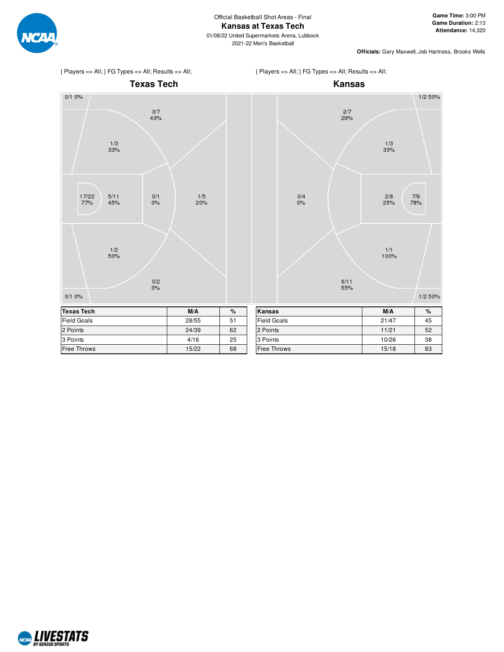

{ Players => All; } FG Types => All; Results => All;





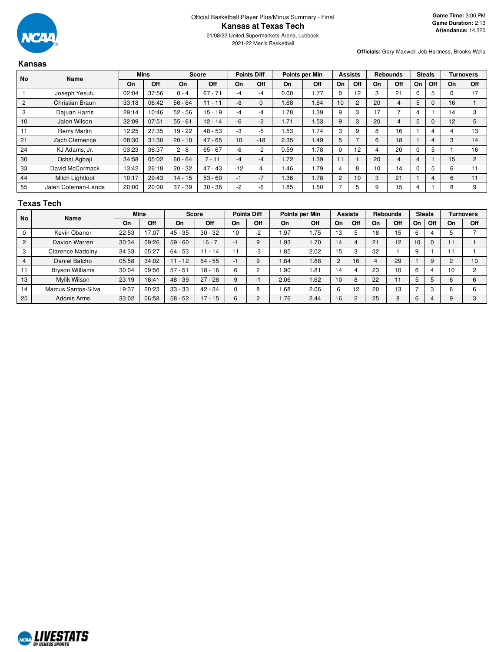

2021-22 Men's Basketball

**Officials:** Gary Maxwell, Jeb Hartness, Brooks Wells

#### **Kansas No Name Mins Score Points Diff Points per Min Assists Rebounds Steals Turnovers On Off On Off On Off On Off On Off On Off On Off On Off** 1 | Joseph Yesufu | 02:04 | 37:56 | 0 - 4 | 67 - 71 | -4 | -4 | 0.00 | 1.77 | 0 | 12 | 3 | 21 | 0 | 5 | 0 | 17 2 | Christian Braun | 33:18 | 06:42 | 56 - 64 | 11 - 11 | -8 | 0 | 1.68 | 1.64 | 10 | 2 | 20 | 4 | 5 | 0 | 16 | 1 3 | Dajuan Harris | 29:14 | 10:46 | 52 - 56 | 15 - 19 | -4 | -4 | 1.78 | 1.39 | 9 | 3 | 17 | 7 | 4 | 1 | 14 | 3 10 | Jalen Wilson | 32:09 | 07:51 | 55 - 61 | 12 - 14 | -6 | -2 | 1.71 | 1.53 | 9 | 3 | 20 | 4 | 5 | 0 | 12 | 5 11 Remy Martin | 12:25 | 27:35 | 19 - 22 | 48 - 53 | -3 | -5 | 1.53 | 1.74 | 3 | 9 | 8 | 16 | 1 | 4 | 4 | 13 21 | Zach Clemence | 08:30 | 31:30 | 20 - 10 | 47 - 65 | 10 | -18 | 2.35 | 1.49 | 5 | 7 | 6 | 18 | 1 | 4 | 3 | 14 24 | KJ Adams, Jr. | 03:23 | 36:37 | 2 - 8 | 65 - 67 | -6 | -2 | 0.59 | 1.78 | 0 | 12 | 4 | 20 | 0 | 5 | 1 | 16 30 | Ochai Agbaji | 34:58 | 05:02 | 60 - 64 | 7 - 11 | -4 | -4 | 1.72 | 1.39 | 11 | 1 | 20 | 4 | 4 | 1 | 15 | 2 33 David McCormack 13:42 26:18 20 - 32 47 - 43 - 12 4 1.46 1.79 4 8 10 14 0 5 6 11 44 | Mitch Lightfoot | 10:17 | 29:43 | 14 - 15 | 53 - 60 | -1 | -7 | 1.36 | 1.78 | 2 | 10 | 3 | 21 | 1 | 4 | 6 | 11 55 Jalen Coleman-Lands 20:00 20:00 37 - 39 30 - 36 - 2 - 6 1.85 1.50 7 5 9 15 4 1 8 9

#### **Texas Tech**

| <b>No</b>      | Name                   |       | <b>Mins</b> | <b>Score</b> |           |    | <b>Points Diff</b> |      | Points per Min |                | <b>Assists</b> | <b>Rebounds</b> |     | <b>Steals</b> |          |    | <b>Turnovers</b> |
|----------------|------------------------|-------|-------------|--------------|-----------|----|--------------------|------|----------------|----------------|----------------|-----------------|-----|---------------|----------|----|------------------|
|                |                        | On    | Off         | <b>On</b>    | Off       | On | Off                | On   | Off            | On             | Off            | On              | Off | On            | Off      | On | Off              |
| $\Omega$       | Kevin Obanor           | 22:53 | 17:07       | 45 - 35      | $30 - 32$ | 10 | $-2$               | 1.97 | .75            | 13             |                | 18              | 15  | 6             |          |    |                  |
| 2              | Davion Warren          | 30:34 | 09:26       | $59 - 60$    | $16 - 7$  | -1 | 9                  | 1.93 | 1.70           | 14             |                | 21              | 12  | 10            | $\Omega$ |    |                  |
| 3              | Clarence Nadolny       | 34:33 | 05:27       | 64 - 53      | $11 - 14$ |    | -3                 | 1.85 | 2.02           | 15             |                | 32              |     | 9             |          |    |                  |
| $\overline{4}$ | Daniel Batcho          | 05:58 | 34:02       | 11 - 12      | $64 - 55$ | -1 | 9                  | 1.84 | .88            | $\overline{2}$ | 16             |                 | 29  |               | 9        |    | 10               |
|                | <b>Bryson Williams</b> | 30:04 | 09:56       | $57 - 51$    | $18 - 16$ | 6  | 2                  | 1.90 | 1.81           | 14             |                | 23              | 10  | 6             |          | 10 | $\overline{2}$   |
| 13             | Mvlik Wilson           | 23:19 | 16:41       | 48 - 39      | $27 - 28$ | 9  | ÷,                 | 2.06 | 1.62           | 10             | 8              | 22              | 11  | 5             | 5        | հ  | 6                |
| 14             | Marcus Santos-Silva    | 19:37 | 20:23       | $33 - 33$    | $42 - 34$ |    | 8                  | 1.68 | 2.06           | $\sim$         | 12             | 20              | 13  |               | C        |    | 6                |
| 25             | Adonis Arms            | 33:02 | 06:58       | $58 - 52$    | $17 - 15$ | 6  | $\overline{2}$     | 1.76 | 2.44           | 16             |                | 25              | 8   | 6             | 4        |    | 3                |

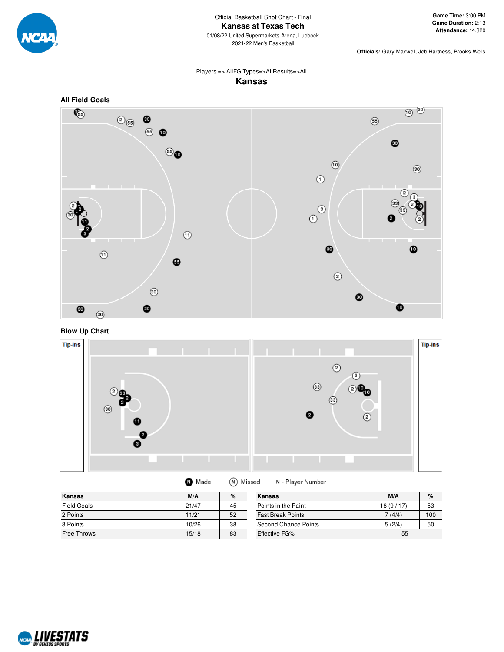

01/08/22 United Supermarkets Arena, Lubbock 2021-22 Men's Basketball

**Officials:** Gary Maxwell, Jeb Hartness, Brooks Wells

## Players => AllFG Types=>AllResults=>All **Kansas**



**Blow Up Chart**



| Kansas             | M/A   | %  | Kansas                   | M/A      | $\%$ |
|--------------------|-------|----|--------------------------|----------|------|
| Field Goals        | 21/47 | 45 | Points in the Paint      | 18(9/17) | 53   |
| 2 Points           | 11/21 | 52 | <b>Fast Break Points</b> | 7 (4/4)  | 100  |
| 3 Points           | 10/26 | 38 | Second Chance Points     | 5(2/4)   | 50   |
| <b>Free Throws</b> | 15/18 | 83 | <b>Effective FG%</b>     | 55       |      |

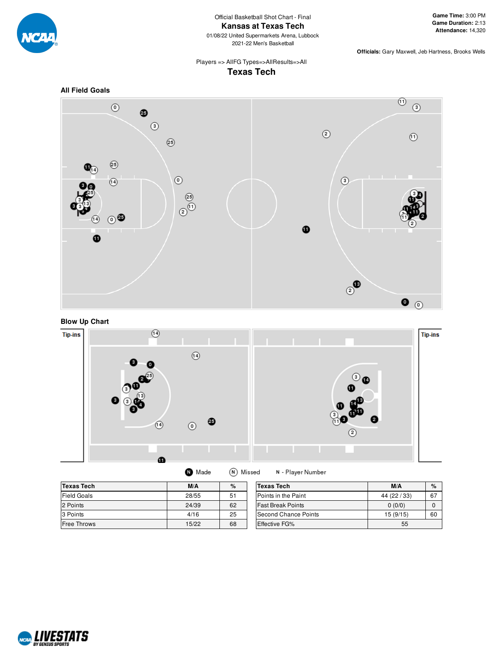

Official Basketball Shot Chart - Final **Kansas at Texas Tech**

01/08/22 United Supermarkets Arena, Lubbock 2021-22 Men's Basketball

**Officials:** Gary Maxwell, Jeb Hartness, Brooks Wells

# Players => AllFG Types=>AllResults=>All **Texas Tech**





# **Blow Up Chart**



| <b>Texas Tech</b>  | M/A   | %  | Texas Tech               | M/A          | $\%$ |
|--------------------|-------|----|--------------------------|--------------|------|
| <b>Field Goals</b> | 28/55 | 51 | Points in the Paint      | 44 (22 / 33) | 67   |
| 2 Points           | 24/39 | 62 | <b>Fast Break Points</b> | 0(0/0)       |      |
| 3 Points           | 4/16  | 25 | Second Chance Points     | 15(9/15)     | 60   |
| Free Throws        | 15/22 | 68 | Effective FG%            | 55           |      |

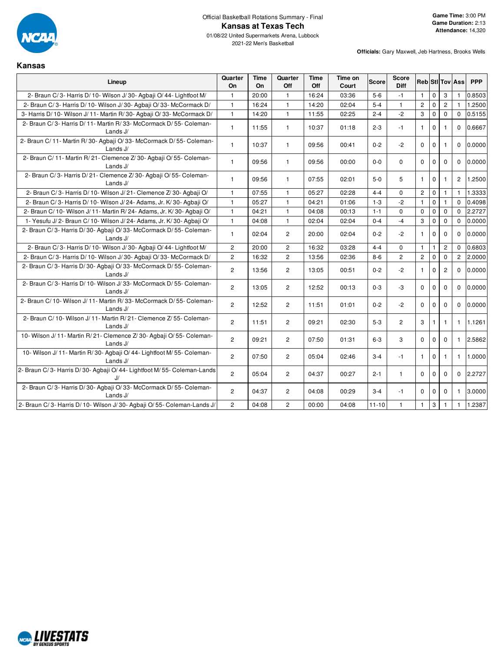

2021-22 Men's Basketball

**Kansas**

| Lineup                                                                             | Quarter<br>On         | Time<br>On. | Quarter<br>Off | Time<br>Off | Time on<br>Court | <b>Score</b> | <b>Score</b><br><b>Diff</b> | <b>Reb</b> StIITovIAss |              |                |                | <b>PPP</b> |
|------------------------------------------------------------------------------------|-----------------------|-------------|----------------|-------------|------------------|--------------|-----------------------------|------------------------|--------------|----------------|----------------|------------|
| 2- Braun C/3- Harris D/10- Wilson J/30- Agbaji O/44- Lightfoot M/                  | $\mathbf{1}$          | 20:00       | $\mathbf{1}$   | 16:24       | 03:36            | $5-6$        | $-1$                        | $\mathbf{1}$           | $\mathbf 0$  | 3              | $\mathbf{1}$   | 0.8503     |
| 2- Braun C/3- Harris D/10- Wilson J/30- Agbaii O/33- McCormack D/                  | $\mathbf{1}$          | 16:24       | $\mathbf{1}$   | 14:20       | 02:04            | $5 - 4$      | $\mathbf{1}$                | $\mathbf{2}$           | $\mathbf 0$  | $\overline{c}$ | $\mathbf{1}$   | 1.2500     |
| 3- Harris D/ 10- Wilson J/ 11- Martin R/ 30- Agbaji O/ 33- McCormack D/            | $\mathbf{1}$          | 14:20       | $\mathbf{1}$   | 11:55       | 02:25            | $2 - 4$      | $-2$                        | 3                      | $\mathbf 0$  | $\mathbf 0$    | $\mathbf 0$    | 0.5155     |
| 2- Braun C/3- Harris D/11- Martin R/33- McCormack D/55- Coleman-<br>Lands J/       | $\mathbf{1}$          | 11:55       | $\mathbf{1}$   | 10:37       | 01:18            | $2 - 3$      | $-1$                        | $\mathbf{1}$           | $\mathbf{0}$ | 1              | $\Omega$       | 0.6667     |
| 2- Braun C/11- Martin R/30- Agbaji O/33- McCormack D/55- Coleman-<br>Lands J/      | $\mathbf{1}$          | 10:37       | $\mathbf{1}$   | 09:56       | 00:41            | $0 - 2$      | $-2$                        | $\Omega$               | $\mathbf 0$  | $\mathbf{1}$   | $\Omega$       | 0.0000     |
| 2- Braun C/11- Martin R/21- Clemence Z/30- Agbaji O/55- Coleman-<br>Lands $J/$     | $\mathbf{1}$          | 09:56       | $\mathbf{1}$   | 09:56       | 00:00            | $0 - 0$      | 0                           | $\mathbf 0$            | $\mathbf 0$  | $\mathbf 0$    | $\mathbf 0$    | 0.0000     |
| 2- Braun C/3- Harris D/21- Clemence Z/30- Agbaii O/55- Coleman-<br>Lands J/        | $\mathbf{1}$          | 09:56       | $\mathbf{1}$   | 07:55       | 02:01            | $5-0$        | 5                           | $\mathbf{1}$           | $\mathbf 0$  |                | $\overline{2}$ | 1.2500     |
| 2- Braun C/3- Harris D/10- Wilson J/21- Clemence Z/30- Agbaji O/                   | $\mathbf{1}$          | 07:55       | $\mathbf{1}$   | 05:27       | 02:28            | $4 - 4$      | $\Omega$                    | $\overline{2}$         | $\mathbf 0$  | $\mathbf{1}$   | $\mathbf{1}$   | 1.3333     |
| 2- Braun C/3- Harris D/10- Wilson J/24- Adams, Jr. K/30- Agbaji O/                 | 1                     | 05:27       | 1              | 04:21       | 01:06            | $1 - 3$      | $-2$                        | $\mathbf{1}$           | $\mathbf 0$  | 1              | $\Omega$       | 0.4098     |
| 2- Braun C/10- Wilson J/11- Martin R/24- Adams, Jr. K/30- Agbaji O/                | $\mathbf{1}$          | 04:21       | $\mathbf{1}$   | 04:08       | 00:13            | $1 - 1$      | 0                           | $\mathbf 0$            | $\mathbf 0$  | $\mathbf 0$    | $\Omega$       | 2.2727     |
| 1- Yesufu J/2- Braun C/10- Wilson J/24- Adams, Jr. K/30- Agbaji O/                 | $\mathbf{1}$          | 04:08       | $\mathbf{1}$   | 02:04       | 02:04            | $0 - 4$      | $-4$                        | 3                      | $\mathbf 0$  | $\Omega$       | $\Omega$       | 0.0000     |
| 2- Braun C/3- Harris D/30- Agbaji O/33- McCormack D/55- Coleman-<br>Lands $J/$     | $\mathbf{1}$          | 02:04       | $\overline{2}$ | 20:00       | 02:04            | $0 - 2$      | $-2$                        | $\mathbf{1}$           | $\mathbf 0$  | $\Omega$       | $\Omega$       | 0.0000     |
| 2- Braun C/3- Harris D/10- Wilson J/30- Agbaji O/44- Lightfoot M/                  | $\overline{2}$        | 20:00       | $\overline{2}$ | 16:32       | 03:28            | $4 - 4$      | $\Omega$                    | $\mathbf{1}$           | $\mathbf{1}$ | $\overline{2}$ | $\Omega$       | 0.6803     |
| 2- Braun C/3- Harris D/10- Wilson J/30- Agbaii O/33- McCormack D/                  | $\mathbf{2}^{\prime}$ | 16:32       | $\mathbf{2}$   | 13:56       | 02:36            | $8-6$        | $\mathbf{2}^{\prime}$       | $\mathbf{2}$           | $\mathbf 0$  | $\mathbf 0$    | $\overline{c}$ | 2.0000     |
| 2- Braun C/3- Harris D/30- Agbaii O/33- McCormack D/55- Coleman-<br>Lands J/       | $\mathbf{2}^{\prime}$ | 13:56       | $\overline{2}$ | 13:05       | 00:51            | $0 - 2$      | $-2$                        | $\mathbf{1}$           | $\mathbf 0$  | $\overline{2}$ | $\Omega$       | 0.0000     |
| 2- Braun C/3- Harris D/10- Wilson J/33- McCormack D/55- Coleman-<br>Lands J/       | $\overline{2}$        | 13:05       | $\overline{2}$ | 12:52       | 00:13            | $0 - 3$      | $-3$                        | $\Omega$               | $\mathbf 0$  | $\Omega$       | $\Omega$       | 0.0000     |
| 2- Braun C/10- Wilson J/11- Martin R/33- McCormack D/55- Coleman-<br>Lands $J/$    | $\overline{2}$        | 12:52       | $\overline{2}$ | 11:51       | 01:01            | $0 - 2$      | $-2$                        | $\mathbf 0$            | $\mathbf 0$  | $\mathbf 0$    | $\Omega$       | 0.0000     |
| 2- Braun C/ 10- Wilson J/ 11- Martin R/ 21- Clemence Z/ 55- Coleman-<br>Lands J/   | $\overline{2}$        | 11:51       | $\overline{2}$ | 09:21       | 02:30            | $5-3$        | $\overline{2}$              | 3                      | $\mathbf{1}$ | $\mathbf{1}$   | $\mathbf{1}$   | 1.1261     |
| 10- Wilson J/11- Martin R/21- Clemence Z/30- Agbaii O/55- Coleman-<br>Lands J/     | $\overline{2}$        | 09:21       | $\overline{2}$ | 07:50       | 01:31            | $6 - 3$      | 3                           | $\Omega$               | $\Omega$     | $\Omega$       | $\mathbf{1}$   | 2.5862     |
| 10- Wilson J/ 11- Martin R/30- Agbaii O/ 44- Lightfoot M/ 55- Coleman-<br>Lands J/ | $\overline{2}$        | 07:50       | $\overline{2}$ | 05:04       | 02:46            | $3 - 4$      | $-1$                        | $\mathbf{1}$           | $\mathbf 0$  | 1              | $\mathbf{1}$   | 1.0000     |
| 2- Braun C/3- Harris D/30- Agbaji O/44- Lightfoot M/55- Coleman-Lands<br>J/        | $\overline{2}$        | 05:04       | $\overline{2}$ | 04:37       | 00:27            | $2 - 1$      | $\mathbf{1}$                | $\Omega$               | $\mathbf 0$  | $\mathbf 0$    | $\Omega$       | 2.2727     |
| 2- Braun C/3- Harris D/30- Agbaji O/33- McCormack D/55- Coleman-<br>Lands J/       | $\overline{2}$        | 04:37       | $\overline{2}$ | 04:08       | 00:29            | $3 - 4$      | $-1$                        | $\mathbf 0$            | $\mathbf 0$  | $\mathbf 0$    | $\mathbf{1}$   | 3.0000     |
| 2- Braun C/3- Harris D/10- Wilson J/30- Agbaji O/55- Coleman-Lands J/              | $\overline{2}$        | 04:08       | $\overline{2}$ | 00:00       | 04:08            | $11 - 10$    | $\mathbf{1}$                | $\mathbf{1}$           | 3            | 1              | $\mathbf{1}$   | 1.2387     |

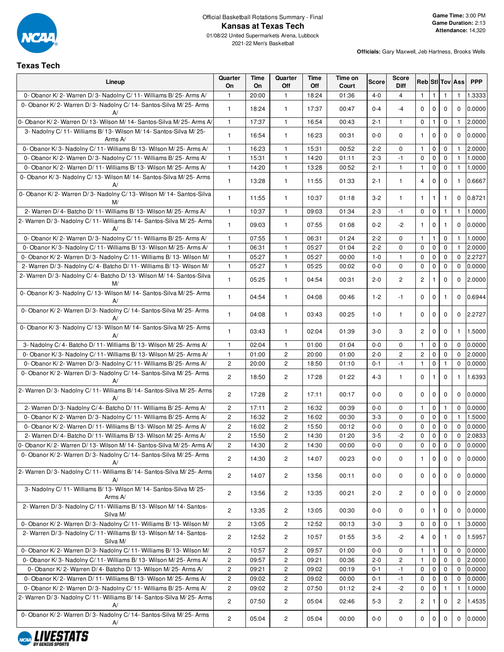

01/08/22 United Supermarkets Arena, Lubbock 2021-22 Men's Basketball

# **Texas Tech**

| Lineup                                                                       | Quarter<br>On         | Time<br>On | Quarter<br>Off        | Time<br>Off | Time on<br>Court | Score   | Score<br><b>Diff</b> |                |              |              | <b>Reb StilTov Ass</b> | <b>PPP</b> |
|------------------------------------------------------------------------------|-----------------------|------------|-----------------------|-------------|------------------|---------|----------------------|----------------|--------------|--------------|------------------------|------------|
| 0- Obanor K/2- Warren D/3- Nadolny C/11- Williams B/25- Arms A/              | $\mathbf{1}$          | 20:00      | $\mathbf{1}$          | 18:24       | 01:36            | $4 - 0$ | $\overline{4}$       | $\mathbf{1}$   | $\mathbf{1}$ | 1            | $\mathbf{1}$           | 1.3333     |
| 0- Obanor K/2- Warren D/3- Nadolny C/14- Santos-Silva M/25- Arms<br>A        | $\mathbf{1}$          | 18:24      | 1                     | 17:37       | 00:47            | $0 - 4$ | $-4$                 | $\mathbf 0$    | $\mathbf{0}$ | $\mathbf 0$  | $\mathbf 0$            | 0.0000     |
| 0- Obanor K/2- Warren D/13- Wilson M/14- Santos-Silva M/25- Arms A/          | $\mathbf{1}$          | 17:37      | $\mathbf{1}$          | 16:54       | 00:43            | $2 - 1$ | 1                    | 0              | 1            | 0            | -1                     | 2.0000     |
| 3- Nadolny C/11- Williams B/13- Wilson M/14- Santos-Silva M/25-<br>Arms A/   | $\mathbf{1}$          | 16:54      | $\mathbf{1}$          | 16:23       | 00:31            | $0-0$   | $\mathbf 0$          | $\mathbf{1}$   | $\mathbf{0}$ | $\mathbf 0$  | $\mathbf 0$            | 0.0000     |
| 0- Obanor K/3- Nadolny C/11- Williams B/13- Wilson M/25- Arms A/             | $\mathbf{1}$          | 16:23      | $\mathbf{1}$          | 15:31       | 00:52            | $2 - 2$ | $\mathbf 0$          | $\mathbf{1}$   | $\mathbf 0$  | 0            | $\mathbf{1}$           | 2.0000     |
| 0- Obanor K/2- Warren D/3- Nadolny C/11- Williams B/25- Arms A/              | $\mathbf{1}$          | 15:31      | $\mathbf{1}$          | 14:20       | 01:11            | $2 - 3$ | $-1$                 | $\mathbf 0$    | $\mathbf 0$  | 0            | $\mathbf{1}$           | 1.0000     |
| 0- Obanor K/2- Warren D/11- Williams B/13- Wilson M/25- Arms A/              | 1                     | 14:20      | 1                     | 13:28       | 00:52            | $2 - 1$ | $\mathbf{1}$         | $\mathbf{1}$   | $\mathbf 0$  | 0            | $\mathbf{1}$           | 1.0000     |
| 0- Obanor K/3- Nadolny C/13- Wilson M/14- Santos-Silva M/25- Arms            | $\mathbf{1}$          | 13:28      | $\mathbf{1}$          | 11:55       | 01:33            | $2 - 1$ | $\mathbf{1}$         | $\overline{4}$ | $\mathbf{0}$ | 0            | $\mathbf{1}$           | 0.6667     |
| 0- Obanor K/2- Warren D/3- Nadolny C/13- Wilson M/14- Santos-Silva<br>M/     | 1                     | 11:55      | $\mathbf{1}$          | 10:37       | 01:18            | $3-2$   | $\mathbf{1}$         | $\mathbf{1}$   | $\mathbf{1}$ | 1            | $\mathbf 0$            | 0.8721     |
| 2- Warren D/4- Batcho D/11- Williams B/13- Wilson M/25- Arms A/              | $\mathbf{1}$          | 10:37      | $\mathbf{1}$          | 09:03       | 01:34            | $2 - 3$ | -1                   | 0              | $\pmb{0}$    | 1            | 1                      | 1.0000     |
| 2- Warren D/3- Nadolny C/11- Williams B/14- Santos-Silva M/25- Arms<br>A     | $\mathbf{1}$          | 09:03      | $\mathbf{1}$          | 07:55       | 01:08            | $0 - 2$ | $-2$                 | $\mathbf{1}$   | $\mathbf 0$  | $\mathbf{1}$ | $\mathbf 0$            | 0.0000     |
| 0- Obanor K/2- Warren D/3- Nadolny C/11- Williams B/25- Arms A/              | $\mathbf{1}$          | 07:55      | 1                     | 06:31       | 01:24            | $2 - 2$ | $\mathbf 0$          | $\mathbf{1}$   | $\mathbf{1}$ | 0            | $\mathbf{1}$           | 1.0000     |
| 0- Obanor K/3- Nadolny C/11- Williams B/13- Wilson M/25- Arms A/             | 1                     | 06:31      | $\mathbf{1}$          | 05:27       | 01:04            | $2 - 2$ | $\mathbf 0$          | $\mathbf 0$    | $\mathbf 0$  | 0            | $\mathbf{1}$           | 2.0000     |
| 0- Obanor K/2- Warren D/3- Nadolny C/11- Williams B/13- Wilson M/            | $\mathbf{1}$          | 05:27      | $\mathbf{1}$          | 05:27       | 00:00            | $1 - 0$ | $\mathbf{1}$         | $\pmb{0}$      | $\mathbf 0$  | 0            | $\mathbf 0$            | 2.2727     |
| 2- Warren D/3- Nadolny C/4- Batcho D/11- Williams B/13- Wilson M/            | 1                     | 05:27      | $\mathbf{1}$          | 05:25       | 00:02            | $0-0$   | 0                    | $\mathbf 0$    | $\mathbf 0$  | 0            | $\mathbf 0$            | 0.0000     |
| 2- Warren D/3- Nadolny C/4- Batcho D/13- Wilson M/14- Santos-Silva<br>M/     | $\mathbf{1}$          | 05:25      | $\mathbf{1}$          | 04:54       | 00:31            | $2 - 0$ | $\mathbf{2}$         | $\overline{2}$ | 1            | $\mathbf 0$  | $\mathbf 0$            | 2.0000     |
| 0- Obanor K/3- Nadolny C/13- Wilson M/14- Santos-Silva M/25- Arms<br>A/      | 1                     | 04:54      | $\mathbf{1}$          | 04:08       | 00:46            | $1 - 2$ | $-1$                 | $\mathbf 0$    | $\mathbf 0$  | $\mathbf{1}$ | $\mathbf 0$            | 0.6944     |
| 0- Obanor K/2- Warren D/3- Nadolny C/14- Santos-Silva M/25- Arms<br>A        | $\mathbf{1}$          | 04:08      | $\mathbf{1}$          | 03:43       | 00:25            | $1 - 0$ | $\mathbf{1}$         | $\mathbf{0}$   | $\mathbf 0$  | 0            | $\mathbf 0$            | 2.2727     |
| 0- Obanor K/3- Nadolny C/13- Wilson M/14- Santos-Silva M/25- Arms<br>A/      | 1                     | 03:43      | $\mathbf{1}$          | 02:04       | 01:39            | $3-0$   | 3                    | $\overline{2}$ | $\mathbf 0$  | 0            | 1                      | 1.5000     |
| 3- Nadolny C/4- Batcho D/11- Williams B/13- Wilson M/25- Arms A/             | 1                     | 02:04      | $\mathbf{1}$          | 01:00       | 01:04            | $0-0$   | 0                    | $\mathbf{1}$   | $\mathbf 0$  | 0            | $\Omega$               | 0.0000     |
| 0- Obanor K/3- Nadolny C/11- Williams B/13- Wilson M/25- Arms A/             | $\mathbf{1}$          | 01:00      | $\mathbf{2}^{\prime}$ | 20:00       | 01:00            | $2 - 0$ | $\overline{c}$       | $\overline{c}$ | $\mathbf 0$  | 0            | $\mathbf{0}$           | 2.0000     |
| 0- Obanor K/2- Warren D/3- Nadolny C/11- Williams B/25- Arms A/              | $\mathbf{2}^{\prime}$ | 20:00      | $\overline{c}$        | 18:50       | 01:10            | $0 - 1$ | -1                   | $\mathbf{1}$   | $\mathbf 0$  | $\mathbf{1}$ | $\mathbf 0$            | 0.0000     |
| 0- Obanor K/2- Warren D/3- Nadolny C/14- Santos-Silva M/25- Arms<br>A        | $\overline{c}$        | 18:50      | $\mathbf{2}^{\prime}$ | 17:28       | 01:22            | $4 - 3$ | $\mathbf{1}$         | 0              | $\mathbf{1}$ | $\mathbf 0$  | $\mathbf{1}$           | 1.6393     |
| 2- Warren D/3- Nadolny C/11- Williams B/14- Santos-Silva M/25- Arms<br>A/    | $\overline{c}$        | 17:28      | 2                     | 17:11       | 00:17            | $0-0$   | $\mathbf 0$          | 0              | $\mathbf 0$  | 0            | $\mathbf 0$            | 0.0000     |
| 2- Warren D/3- Nadolny C/4- Batcho D/11- Williams B/25- Arms A/              | $\mathbf{2}^{\prime}$ | 17:11      | $\overline{c}$        | 16:32       | 00:39            | $0-0$   | 0                    | $\mathbf{1}$   | $\mathbf 0$  | $\mathbf{1}$ | $\mathbf 0$            | 0.0000     |
| 0- Obanor K/2- Warren D/3- Nadolny C/11- Williams B/25- Arms A/              | $\overline{c}$        | 16:32      | $\mathbf{2}^{\prime}$ | 16:02       | 00:30            | $3 - 3$ | $\mathbf 0$          | $\mathbf 0$    | $\mathbf 0$  | 0            | $\mathbf{1}$           | 1.5000     |
| 0- Obanor K/2- Warren D/11- Williams B/13- Wilson M/25- Arms A/              | $\mathbf{2}^{\prime}$ | 16:02      | $\overline{c}$        | 15:50       | 00:12            | $0-0$   | 0                    | $\mathbf 0$    | $\mathbf 0$  | $\mathbf 0$  | $\mathbf 0$            | 0.0000     |
| 2- Warren D/4- Batcho D/11- Williams B/13- Wilson M/25- Arms A/              | $\overline{c}$        | 15:50      | $\mathbf{2}^{\prime}$ | 14:30       | 01:20            | $3-5$   | $-2$                 | $\mathsf 0$    | $\mathbf 0$  | 0            | $\mathbf 0$            | 2.0833     |
| 0- Obanor K/2- Warren D/13- Wilson M/14- Santos-Silva M/25- Arms A/          | $\overline{c}$        | 14:30      | $\overline{c}$        | 14:30       | 00:00            | 0-0     | 0                    | $\mathbf 0$    | $\mathbf 0$  | 0            | 0                      | 0.0000     |
| 0- Obanor K/2- Warren D/3- Nadolny C/14- Santos-Silva M/25- Arms<br>A/       | $\mathbf{2}^{\prime}$ | 14:30      | $\overline{c}$        | 14:07       | 00:23            | $0-0$   | 0                    | $\mathbf{1}$   | 0            | $\mathbf 0$  | $\mathbf 0$            | 0.0000     |
| 2- Warren D/3- Nadolny C/11- Williams B/14- Santos-Silva M/25- Arms<br>A/    | $\overline{c}$        | 14:07      | $\overline{c}$        | 13:56       | 00:11            | $0-0$   | 0                    | $\mathbf 0$    | $\mathbf 0$  | $\mathbf 0$  | 0                      | 0.0000     |
| 3- Nadolny C/11- Williams B/13- Wilson M/14- Santos-Silva M/25-<br>Arms A/   | $\overline{c}$        | 13:56      | $\overline{c}$        | 13:35       | 00:21            | $2 - 0$ | $\overline{c}$       | $\mathbf 0$    | 0            | $\mathbf 0$  | $\mathbf 0$            | 2.0000     |
| 2- Warren D/3- Nadolny C/11- Williams B/13- Wilson M/14- Santos-<br>Silva M/ | $\mathbf{2}^{\prime}$ | 13:35      | $\overline{c}$        | 13:05       | 00:30            | $0-0$   | 0                    | 0              | $\mathbf{1}$ | $\mathbf 0$  | $\mathbf 0$            | 0.0000     |
| 0- Obanor K/2- Warren D/3- Nadolny C/11- Williams B/13- Wilson M/            | $\overline{c}$        | 13:05      | 2                     | 12:52       | 00:13            | $3-0$   | 3                    | 0              | $\mathbf 0$  | 0            | $\mathbf{1}$           | 3.0000     |
| 2- Warren D/3- Nadolny C/11- Williams B/13- Wilson M/14- Santos-<br>Silva M/ | $\mathbf{2}^{\prime}$ | 12:52      | $\overline{c}$        | 10:57       | 01:55            | $3 - 5$ | $-2$                 | 4              | $\mathbf{0}$ |              | 0                      | 1.5957     |
| 0- Obanor K/2- Warren D/3- Nadolny C/11- Williams B/13- Wilson M/            | $\overline{c}$        | 10:57      | $\overline{c}$        | 09:57       | 01:00            | $0-0$   | 0                    | $\mathbf{1}$   |              | 0            | $\mathbf 0$            | 0.0000     |
| 0- Obanor K/3- Nadolny C/11- Williams B/13- Wilson M/25- Arms A/             | $\mathbf{2}^{\prime}$ | 09:57      | $\mathbf{2}^{\prime}$ | 09:21       | 00:36            | $2 - 0$ | $\mathbf{2}$         | $\mathbf{1}$   | $\mathbf 0$  | 0            | $\mathbf 0$            | 2.0000     |
| 0- Obanor K/2- Warren D/4- Batcho D/13- Wilson M/25- Arms A/                 | 2                     | 09:21      | $\mathbf{2}^{\prime}$ | 09:02       | 00:19            | $0 - 1$ | $-1$                 | $\mathbf 0$    | $\mathbf 0$  | 0            | $\mathbf 0$            | 0.0000     |
| 0- Obanor K/2- Warren D/11- Williams B/13- Wilson M/25- Arms A/              | $\overline{c}$        | 09:02      | $\overline{c}$        | 09:02       | 00:00            | $0 - 1$ | -1                   | 0              | $\mathbf 0$  | 0            | 0                      | 0.0000     |
| 0- Obanor K/2- Warren D/3- Nadolny C/11- Williams B/25- Arms A/              | $\mathbf{2}^{\prime}$ | 09:02      | $\overline{c}$        | 07:50       | 01:12            | $2 - 4$ | $-2$                 | 0              | $\mathbf 0$  | $\mathbf{1}$ | $\mathbf{1}$           | 1.0000     |
| 2- Warren D/3- Nadolny C/11- Williams B/14- Santos-Silva M/25- Arms<br>A/    | $\mathbf{2}^{\prime}$ | 07:50      | $\overline{c}$        | 05:04       | 02:46            | $5 - 3$ | 2                    | $\overline{c}$ |              | 0            | $\overline{c}$         | 1.4535     |
| 0- Obanor K/2- Warren D/3- Nadolny C/14- Santos-Silva M/25- Arms<br>A/       | $\overline{c}$        | 05:04      | $\overline{c}$        | 05:04       | 00:00            | 0-0     | 0                    | $\mathbf 0$    | $\mathbf 0$  | $\mathbf 0$  | 0                      | 0.0000     |

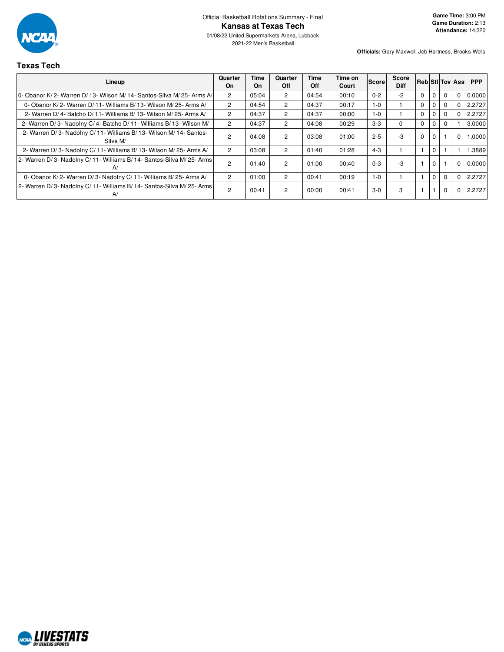

Official Basketball Rotations Summary - Final **Kansas at Texas Tech**

01/08/22 United Supermarkets Arena, Lubbock 2021-22 Men's Basketball

**Officials:** Gary Maxwell, Jeb Hartness, Brooks Wells

# **Texas Tech**

| Lineup                                                                       | Quarter<br>On  | Time<br>On | Quarter<br>Off | Time<br>Off | Time on<br>Court | <b>Score</b> | Score<br><b>Diff</b> | <b>RebiStilTov Assi</b> |              |          |             | <b>PPP</b> |
|------------------------------------------------------------------------------|----------------|------------|----------------|-------------|------------------|--------------|----------------------|-------------------------|--------------|----------|-------------|------------|
| 0- Obanor K/ 2- Warren D/ 13- Wilson M/ 14- Santos-Silva M/ 25- Arms A/      | $\overline{2}$ | 05:04      | $\overline{2}$ | 04:54       | 00:10            | $0 - 2$      | $-2$                 | $\Omega$                | $\Omega$     | $\Omega$ | $\Omega$    | 0.0000     |
| 0- Obanor K/2- Warren D/11- Williams B/13- Wilson M/25- Arms A/              | $\overline{2}$ | 04:54      | $\overline{2}$ | 04:37       | 00:17            | 1-0          |                      | $\Omega$                | $\mathbf 0$  | $\Omega$ | 0           | 2.2727     |
| 2- Warren D/4- Batcho D/11- Williams B/13- Wilson M/25- Arms A/              | $\overline{2}$ | 04:37      | $\overline{2}$ | 04:37       | 00:00            | 1-0          |                      | $\Omega$                | $\Omega$     | $\Omega$ | 0           | 2.2727     |
| 2- Warren D/3- Nadolny C/4- Batcho D/11- Williams B/13- Wilson M/            | $\overline{2}$ | 04:37      | $\overline{2}$ | 04:08       | 00:29            | $3-3$        |                      | $\Omega$                | $\mathbf{0}$ |          |             | 3.0000     |
| 2- Warren D/3- Nadolny C/11- Williams B/13- Wilson M/14- Santos-<br>Silva M/ | 2              | 04:08      | $\overline{2}$ | 03:08       | 01:00            | $2 - 5$      | -3                   | $\Omega$                | $\Omega$     |          | $\mathbf 0$ | .0000      |
| 2- Warren D/3- Nadolny C/11- Williams B/13- Wilson M/25- Arms A/             | $\mathcal{P}$  | 03:08      | 2              | 01:40       | 01:28            | $4 - 3$      |                      |                         | $\Omega$     |          |             | .3889      |
| 2- Warren D/3- Nadolny C/11- Williams B/14- Santos-Silva M/25- Arms<br>A/    | $\overline{2}$ | 01:40      | 2              | 01:00       | 00:40            | $0 - 3$      | -3                   |                         | $\Omega$     |          | $\mathbf 0$ | 0.0000     |
| 0- Obanor K/2- Warren D/3- Nadolny C/11- Williams B/25- Arms A/              | $\overline{2}$ | 01:00      | $\overline{2}$ | 00:41       | 00:19            | $1 - 0$      |                      |                         | $\Omega$     |          | $\Omega$    | 2.2727     |
| 2- Warren D/3- Nadolny C/11- Williams B/14- Santos-Silva M/25- Arms  <br>A/  | 2              | 00:41      | 2              | 00:00       | 00:41            | $3-0$        | 3                    |                         |              | $\Omega$ | 0           | 2.2727     |

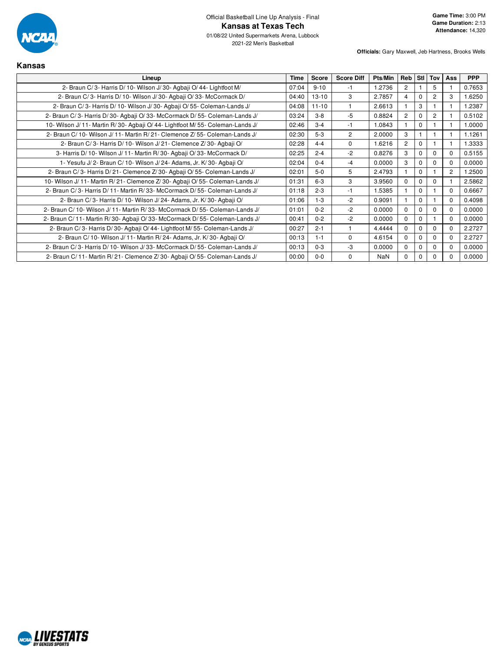

2021-22 Men's Basketball

| Kansas                                                                      |             |              |                   |            |                |                  |                |                |            |
|-----------------------------------------------------------------------------|-------------|--------------|-------------------|------------|----------------|------------------|----------------|----------------|------------|
| Lineup                                                                      | <b>Time</b> | <b>Score</b> | <b>Score Diff</b> | Pts/Min    | Reb            | StI <sup>I</sup> | Tov            | Ass            | <b>PPP</b> |
| 2- Braun C/3- Harris D/10- Wilson J/30- Agbaji O/44- Lightfoot M/           | 07:04       | $9 - 10$     | -1                | 1.2736     | 2              |                  | 5              |                | 0.7653     |
| 2- Braun C/3- Harris D/10- Wilson J/30- Agbaji O/33- McCormack D/           | 04:40       | $13 - 10$    | 3                 | 2.7857     | 4              | $\Omega$         | 2              | 3              | 1.6250     |
| 2- Braun C/3- Harris D/10- Wilson J/30- Agbaji O/55- Coleman-Lands J/       | 04:08       | $11 - 10$    |                   | 2.6613     |                | 3                |                |                | 1.2387     |
| 2- Braun C/3- Harris D/30- Agbaji O/33- McCormack D/55- Coleman-Lands J/    | 03:24       | $3 - 8$      | $-5$              | 0.8824     | $\overline{2}$ | 0                | $\overline{c}$ |                | 0.5102     |
| 10- Wilson J/11- Martin R/30- Agbaji O/44- Lightfoot M/55- Coleman-Lands J/ | 02:46       | $3 - 4$      | $-1$              | 1.0843     |                | $\Omega$         |                |                | 1.0000     |
| 2- Braun C/10- Wilson J/11- Martin R/21- Clemence Z/55- Coleman-Lands J/    | 02:30       | $5-3$        | $\overline{2}$    | 2.0000     | 3              |                  |                |                | 1.1261     |
| 2- Braun C/3- Harris D/10- Wilson J/21- Clemence Z/30- Agbaji O/            | 02:28       | $4 - 4$      | $\Omega$          | 1.6216     | $\overline{2}$ | $\Omega$         |                |                | 1.3333     |
| 3- Harris D/ 10- Wilson J/ 11- Martin R/ 30- Agbaji O/ 33- McCormack D/     | 02:25       | $2 - 4$      | $-2$              | 0.8276     | 3              | $\Omega$         | $\Omega$       | 0              | 0.5155     |
| 1- Yesufu J/2- Braun C/10- Wilson J/24- Adams, Jr. K/30- Agbaji O/          | 02:04       | $0 - 4$      | $-4$              | 0.0000     | 3              | $\Omega$         | $\Omega$       | 0              | 0.0000     |
| 2- Braun C/3- Harris D/21- Clemence Z/30- Agbaji O/55- Coleman-Lands J/     | 02:01       | $5-0$        | 5                 | 2.4793     |                | $\Omega$         |                | $\overline{2}$ | 1.2500     |
| 10- Wilson J/11- Martin R/21- Clemence Z/30- Agbaji O/55- Coleman-Lands J/  | 01:31       | $6 - 3$      | 3                 | 3.9560     | $\Omega$       | 0                | $\Omega$       |                | 2.5862     |
| 2- Braun C/3- Harris D/11- Martin R/33- McCormack D/55- Coleman-Lands J/    | 01:18       | $2 - 3$      | $-1$              | 1.5385     |                | $\Omega$         |                | $\Omega$       | 0.6667     |
| 2- Braun C/3- Harris D/10- Wilson J/24- Adams, Jr. K/30- Agbaji O/          | 01:06       | $1 - 3$      | $-2$              | 0.9091     |                | $\Omega$         |                | 0              | 0.4098     |
| 2- Braun C/10- Wilson J/11- Martin R/33- McCormack D/55- Coleman-Lands J/   | 01:01       | $0 - 2$      | $-2$              | 0.0000     | $\Omega$       | 0                | $\Omega$       | $\Omega$       | 0.0000     |
| 2- Braun C/11- Martin R/30- Agbaji O/33- McCormack D/55- Coleman-Lands J/   | 00:41       | $0 - 2$      | $-2$              | 0.0000     | $\Omega$       | $\Omega$         |                | 0              | 0.0000     |
| 2- Braun C/3- Harris D/30- Agbaji O/44- Lightfoot M/55- Coleman-Lands J/    | 00:27       | $2 - 1$      |                   | 4.4444     | $\Omega$       | $\Omega$         | $\Omega$       | $\Omega$       | 2.2727     |
| 2- Braun C/10- Wilson J/11- Martin R/24- Adams, Jr. K/30- Agbaji O/         | 00:13       | $1 - 1$      | $\Omega$          | 4.6154     | $\Omega$       | $\Omega$         | $\mathbf 0$    | 0              | 2.2727     |
| 2- Braun C/3- Harris D/10- Wilson J/33- McCormack D/55- Coleman-Lands J/    | 00:13       | $0 - 3$      | $-3$              | 0.0000     | $\Omega$       | 0                | $\Omega$       | $\Omega$       | 0.0000     |
| 2- Braun C/11- Martin R/21- Clemence Z/30- Agbaji O/55- Coleman-Lands J/    | 00:00       | $0-0$        | $\Omega$          | <b>NaN</b> | $\Omega$       | 0                | $\Omega$       |                | 0.0000     |